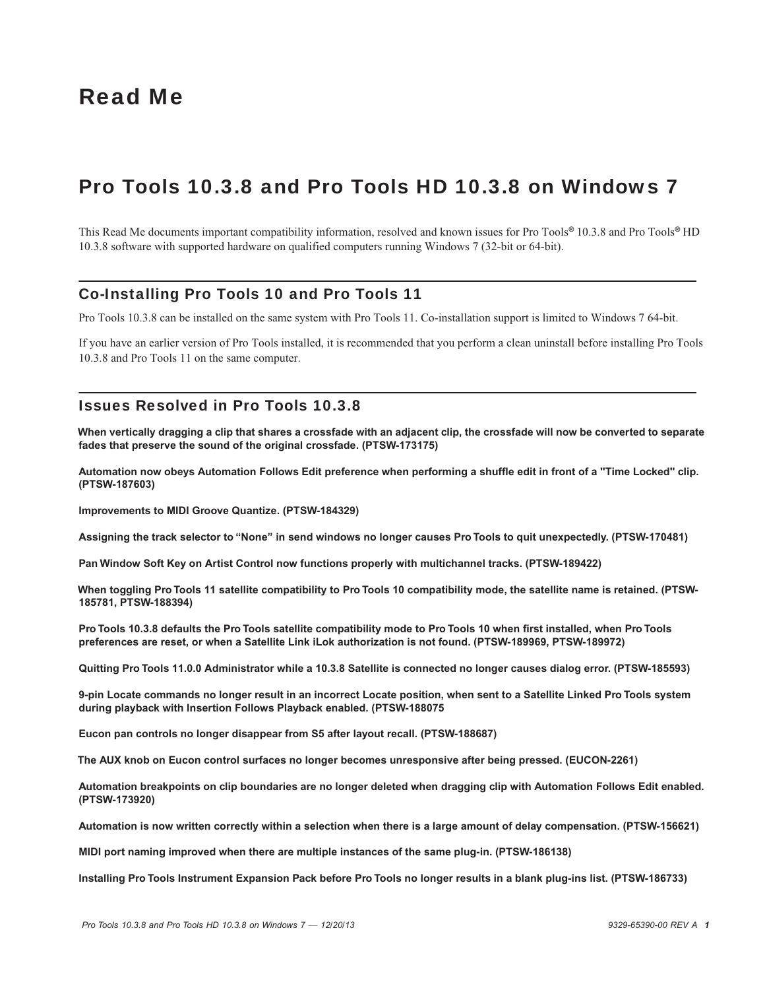# Read Me

# Pro Tools 10.3.8 and Pro Tools HD 10.3.8 on Windows 7

This Read Me documents important compatibility information, resolved and known issues for Pro Tools*®* 10.3.8 and Pro Tools*®* HD 10.3.8 software with supported hardware on qualified computers running Windows 7 (32-bit or 64-bit).

## Co-Installing Pro Tools 10 and Pro Tools 11

Pro Tools 10.3.8 can be installed on the same system with Pro Tools 11. Co-installation support is limited to Windows 7 64-bit.

If you have an earlier version of Pro Tools installed, it is recommended that you perform a clean uninstall before installing Pro Tools 10.3.8 and Pro Tools 11 on the same computer.

### Issues Resolved in Pro Tools 10.3.8

**When vertically dragging a clip that shares a crossfade with an adjacent clip, the crossfade will now be converted to separate fades that preserve the sound of the original crossfade. (PTSW-173175)**

**Automation now obeys Automation Follows Edit preference when performing a shuffle edit in front of a "Time Locked" clip. (PTSW-187603)**

**Improvements to MIDI Groove Quantize. (PTSW-184329)**

**Assigning the track selector to "None" in send windows no longer causes Pro Tools to quit unexpectedly. (PTSW-170481)**

**Pan Window Soft Key on Artist Control now functions properly with multichannel tracks. (PTSW-189422)**

**When toggling Pro Tools 11 satellite compatibility to Pro Tools 10 compatibility mode, the satellite name is retained. (PTSW-185781, PTSW-188394)**

**Pro Tools 10.3.8 defaults the Pro Tools satellite compatibility mode to Pro Tools 10 when first installed, when Pro Tools preferences are reset, or when a Satellite Link iLok authorization is not found. (PTSW-189969, PTSW-189972)**

**Quitting Pro Tools 11.0.0 Administrator while a 10.3.8 Satellite is connected no longer causes dialog error. (PTSW-185593)**

**9-pin Locate commands no longer result in an incorrect Locate position, when sent to a Satellite Linked Pro Tools system during playback with Insertion Follows Playback enabled. (PTSW-188075**

**Eucon pan controls no longer disappear from S5 after layout recall. (PTSW-188687)**

**The AUX knob on Eucon control surfaces no longer becomes unresponsive after being pressed. (EUCON-2261)**

**Automation breakpoints on clip boundaries are no longer deleted when dragging clip with Automation Follows Edit enabled. (PTSW-173920)**

**Automation is now written correctly within a selection when there is a large amount of delay compensation. (PTSW-156621)**

**MIDI port naming improved when there are multiple instances of the same plug-in. (PTSW-186138)**

**Installing Pro Tools Instrument Expansion Pack before Pro Tools no longer results in a blank plug-ins list. (PTSW-186733)**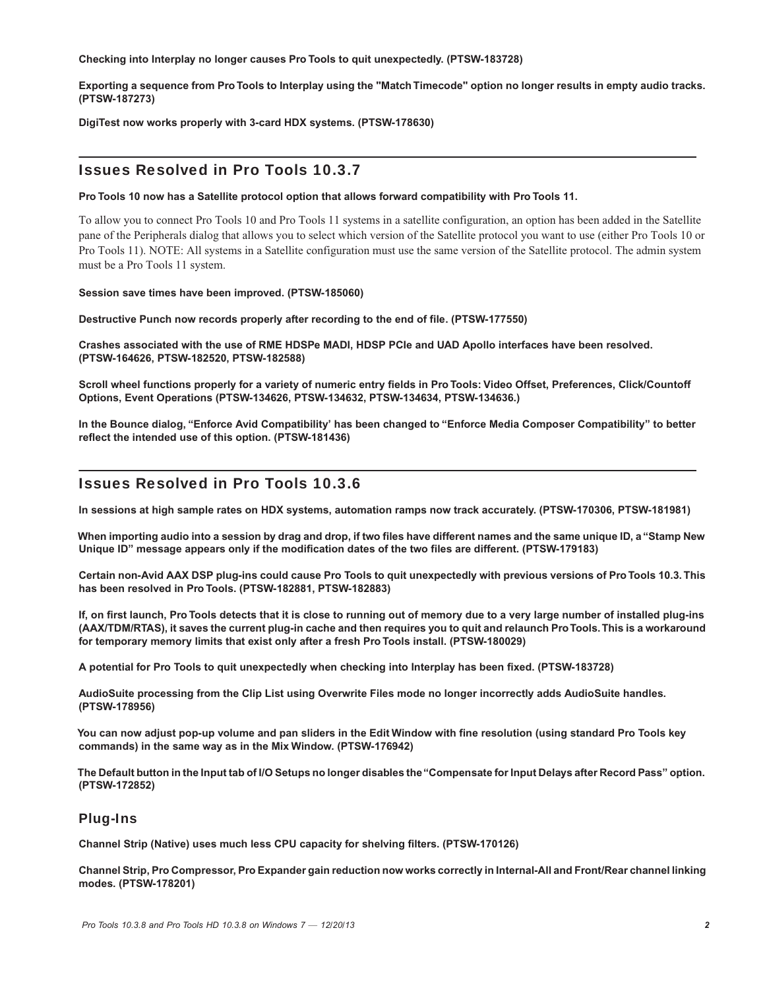**Checking into Interplay no longer causes Pro Tools to quit unexpectedly. (PTSW-183728)**

**Exporting a sequence from Pro Tools to Interplay using the "Match Timecode" option no longer results in empty audio tracks. (PTSW-187273)**

**DigiTest now works properly with 3-card HDX systems. (PTSW-178630)**

### Issues Resolved in Pro Tools 10.3.7

**Pro Tools 10 now has a Satellite protocol option that allows forward compatibility with Pro Tools 11.**

To allow you to connect Pro Tools 10 and Pro Tools 11 systems in a satellite configuration, an option has been added in the Satellite pane of the Peripherals dialog that allows you to select which version of the Satellite protocol you want to use (either Pro Tools 10 or Pro Tools 11). NOTE: All systems in a Satellite configuration must use the same version of the Satellite protocol. The admin system must be a Pro Tools 11 system.

**Session save times have been improved. (PTSW-185060)**

**Destructive Punch now records properly after recording to the end of file. (PTSW-177550)**

**Crashes associated with the use of RME HDSPe MADI, HDSP PCIe and UAD Apollo interfaces have been resolved. (PTSW-164626, PTSW-182520, PTSW-182588)**

**Scroll wheel functions properly for a variety of numeric entry fields in Pro Tools: Video Offset, Preferences, Click/Countoff Options, Event Operations (PTSW-134626, PTSW-134632, PTSW-134634, PTSW-134636.)**

**In the Bounce dialog, "Enforce Avid Compatibility' has been changed to "Enforce Media Composer Compatibility" to better reflect the intended use of this option. (PTSW-181436)**

## Issues Resolved in Pro Tools 10.3.6

**In sessions at high sample rates on HDX systems, automation ramps now track accurately. (PTSW-170306, PTSW-181981)**

**When importing audio into a session by drag and drop, if two files have different names and the same unique ID, a "Stamp New Unique ID" message appears only if the modification dates of the two files are different. (PTSW-179183)**

**Certain non-Avid AAX DSP plug-ins could cause Pro Tools to quit unexpectedly with previous versions of Pro Tools 10.3. This has been resolved in Pro Tools. (PTSW-182881, PTSW-182883)**

**If, on first launch, Pro Tools detects that it is close to running out of memory due to a very large number of installed plug-ins (AAX/TDM/RTAS), it saves the current plug-in cache and then requires you to quit and relaunch ProTools. This is a workaround for temporary memory limits that exist only after a fresh Pro Tools install. (PTSW-180029)**

**A potential for Pro Tools to quit unexpectedly when checking into Interplay has been fixed. (PTSW-183728)**

**AudioSuite processing from the Clip List using Overwrite Files mode no longer incorrectly adds AudioSuite handles. (PTSW-178956)**

**You can now adjust pop-up volume and pan sliders in the Edit Window with fine resolution (using standard Pro Tools key commands) in the same way as in the Mix Window. (PTSW-176942)**

**The Default button in the Input tab of I/O Setups no longer disables the "Compensate for Input Delays after Record Pass" option. (PTSW-172852)**

## Plug-Ins

**Channel Strip (Native) uses much less CPU capacity for shelving filters. (PTSW-170126)**

**Channel Strip, Pro Compressor, Pro Expander gain reduction now works correctly in Internal-All and Front/Rear channel linking modes. (PTSW-178201)**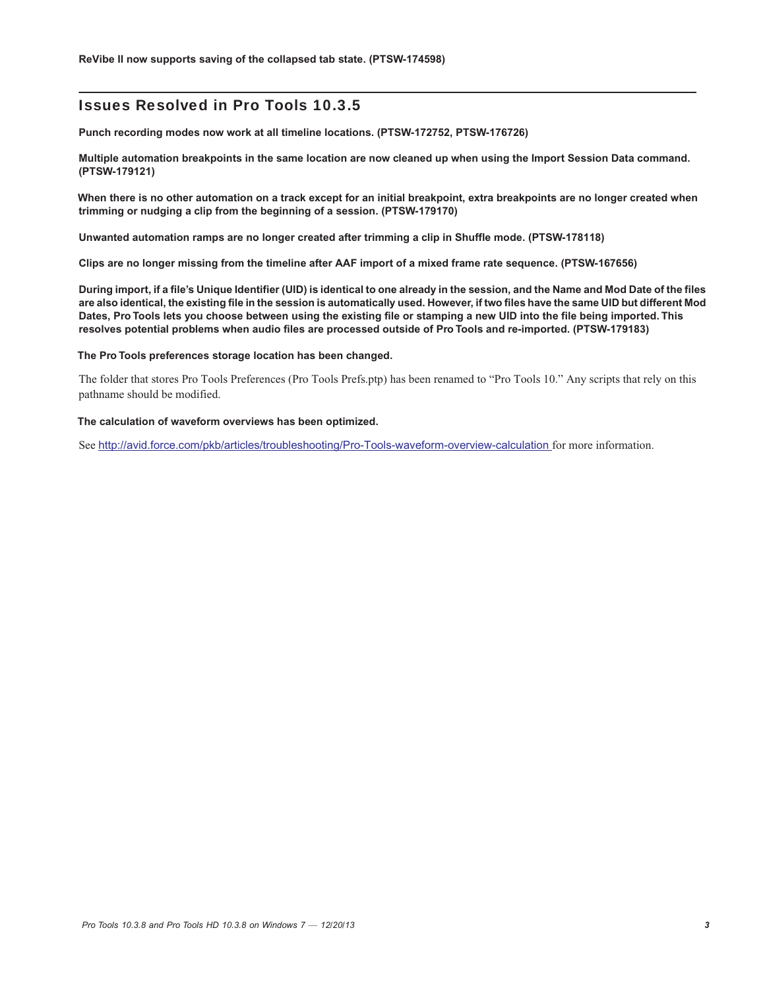**Punch recording modes now work at all timeline locations. (PTSW-172752, PTSW-176726)**

**Multiple automation breakpoints in the same location are now cleaned up when using the Import Session Data command. (PTSW-179121)**

**When there is no other automation on a track except for an initial breakpoint, extra breakpoints are no longer created when trimming or nudging a clip from the beginning of a session. (PTSW-179170)**

**Unwanted automation ramps are no longer created after trimming a clip in Shuffle mode. (PTSW-178118)**

**Clips are no longer missing from the timeline after AAF import of a mixed frame rate sequence. (PTSW-167656)**

**During import, if a file's Unique Identifier (UID) is identical to one already in the session, and the Name and Mod Date of the files are also identical, the existing file in the session is automatically used. However, if two files have the same UID but different Mod Dates, Pro Tools lets you choose between using the existing file or stamping a new UID into the file being imported. This resolves potential problems when audio files are processed outside of Pro Tools and re-imported. (PTSW-179183)**

#### **The Pro Tools preferences storage location has been changed.**

The folder that stores Pro Tools Preferences (Pro Tools Prefs.ptp) has been renamed to "Pro Tools 10." Any scripts that rely on this pathname should be modified.

#### **The calculation of waveform overviews has been optimized.**

See <http://avid.force.com/pkb/articles/troubleshooting/Pro-Tools-waveform-overview-calculation> for more information.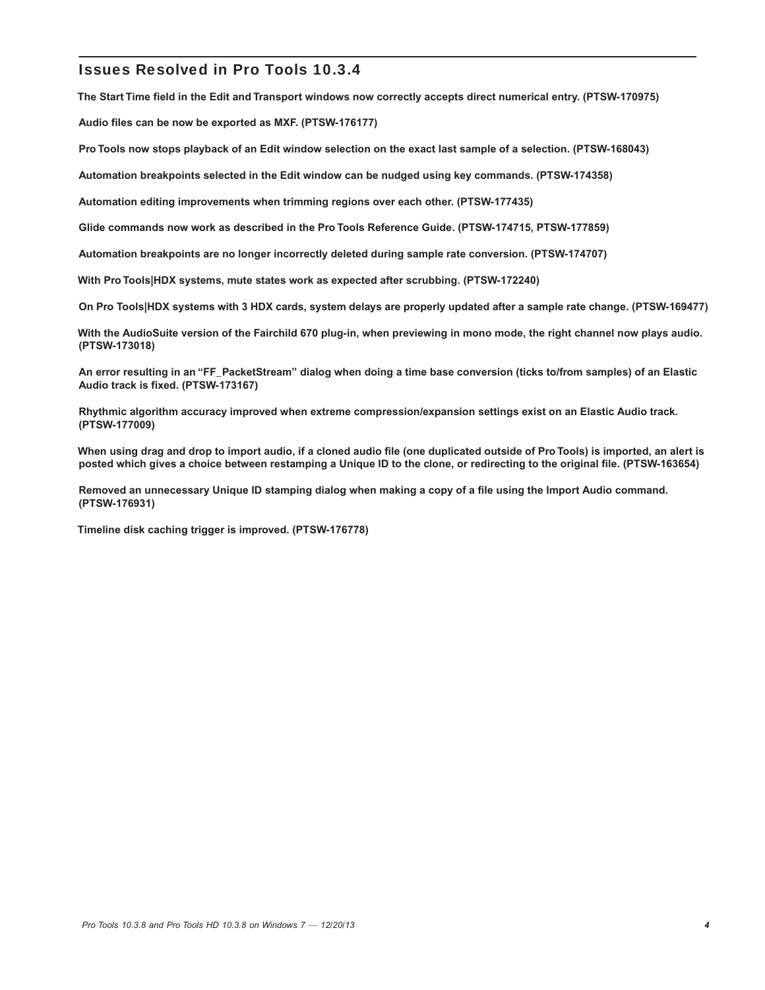**The Start Time field in the Edit and Transport windows now correctly accepts direct numerical entry. (PTSW-170975)**

**Audio files can be now be exported as MXF. (PTSW-176177)**

**Pro Tools now stops playback of an Edit window selection on the exact last sample of a selection. (PTSW-168043)**

**Automation breakpoints selected in the Edit window can be nudged using key commands. (PTSW-174358)**

**Automation editing improvements when trimming regions over each other. (PTSW-177435)**

**Glide commands now work as described in the Pro Tools Reference Guide. (PTSW-174715, PTSW-177859)**

**Automation breakpoints are no longer incorrectly deleted during sample rate conversion. (PTSW-174707)**

**With Pro Tools|HDX systems, mute states work as expected after scrubbing. (PTSW-172240)**

**On Pro Tools|HDX systems with 3 HDX cards, system delays are properly updated after a sample rate change. (PTSW-169477)**

**With the AudioSuite version of the Fairchild 670 plug-in, when previewing in mono mode, the right channel now plays audio. (PTSW-173018)**

**An error resulting in an "FF\_PacketStream" dialog when doing a time base conversion (ticks to/from samples) of an Elastic Audio track is fixed. (PTSW-173167)**

**Rhythmic algorithm accuracy improved when extreme compression/expansion settings exist on an Elastic Audio track. (PTSW-177009)**

**When using drag and drop to import audio, if a cloned audio file (one duplicated outside of Pro Tools) is imported, an alert is posted which gives a choice between restamping a Unique ID to the clone, or redirecting to the original file. (PTSW-163654)**

**Removed an unnecessary Unique ID stamping dialog when making a copy of a file using the Import Audio command. (PTSW-176931)**

**Timeline disk caching trigger is improved. (PTSW-176778)**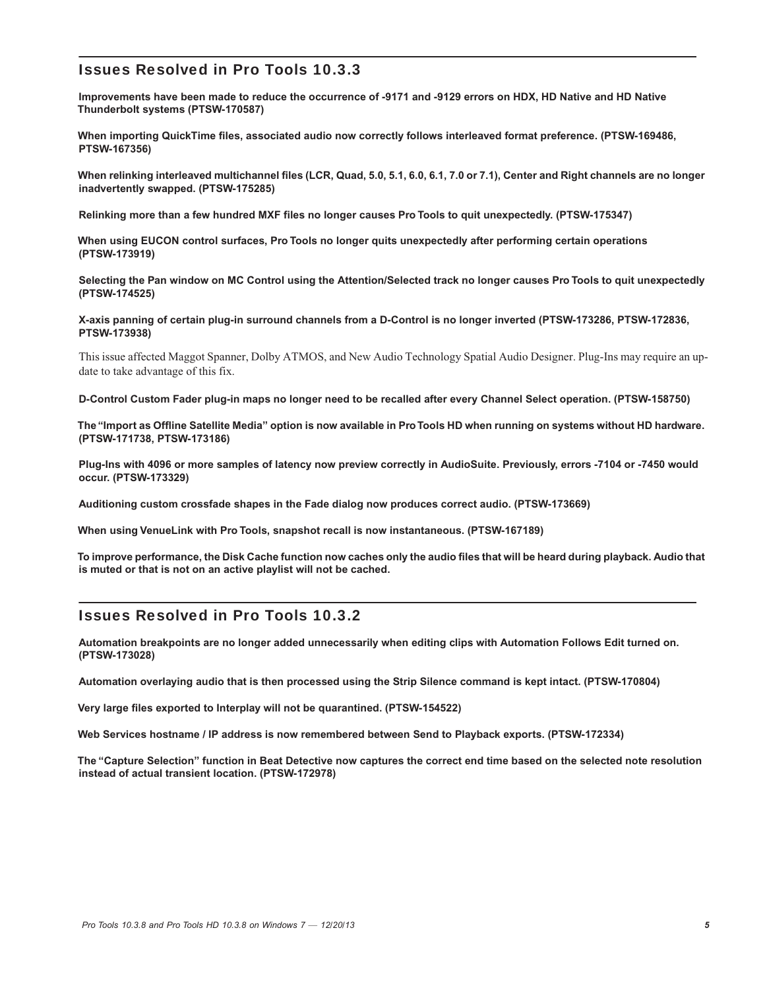**Improvements have been made to reduce the occurrence of -9171 and -9129 errors on HDX, HD Native and HD Native Thunderbolt systems (PTSW-170587)**

**When importing QuickTime files, associated audio now correctly follows interleaved format preference. (PTSW-169486, PTSW-167356)**

**When relinking interleaved multichannel files (LCR, Quad, 5.0, 5.1, 6.0, 6.1, 7.0 or 7.1), Center and Right channels are no longer inadvertently swapped. (PTSW-175285)**

**Relinking more than a few hundred MXF files no longer causes Pro Tools to quit unexpectedly. (PTSW-175347)**

**When using EUCON control surfaces, Pro Tools no longer quits unexpectedly after performing certain operations (PTSW-173919)**

**Selecting the Pan window on MC Control using the Attention/Selected track no longer causes Pro Tools to quit unexpectedly (PTSW-174525)**

**X-axis panning of certain plug-in surround channels from a D-Control is no longer inverted (PTSW-173286, PTSW-172836, PTSW-173938)**

This issue affected Maggot Spanner, Dolby ATMOS, and New Audio Technology Spatial Audio Designer. Plug-Ins may require an update to take advantage of this fix.

**D-Control Custom Fader plug-in maps no longer need to be recalled after every Channel Select operation. (PTSW-158750)**

**The "Import as Offline Satellite Media" option is now available in Pro Tools HD when running on systems without HD hardware. (PTSW-171738, PTSW-173186)**

**Plug-Ins with 4096 or more samples of latency now preview correctly in AudioSuite. Previously, errors -7104 or -7450 would occur. (PTSW-173329)**

**Auditioning custom crossfade shapes in the Fade dialog now produces correct audio. (PTSW-173669)**

**When using VenueLink with Pro Tools, snapshot recall is now instantaneous. (PTSW-167189)**

**To improve performance, the Disk Cache function now caches only the audio files that will be heard during playback. Audio that is muted or that is not on an active playlist will not be cached.**

## Issues Resolved in Pro Tools 10.3.2

**Automation breakpoints are no longer added unnecessarily when editing clips with Automation Follows Edit turned on. (PTSW-173028)**

**Automation overlaying audio that is then processed using the Strip Silence command is kept intact. (PTSW-170804)**

**Very large files exported to Interplay will not be quarantined. (PTSW-154522)**

**Web Services hostname / IP address is now remembered between Send to Playback exports. (PTSW-172334)**

**The "Capture Selection" function in Beat Detective now captures the correct end time based on the selected note resolution instead of actual transient location. (PTSW-172978)**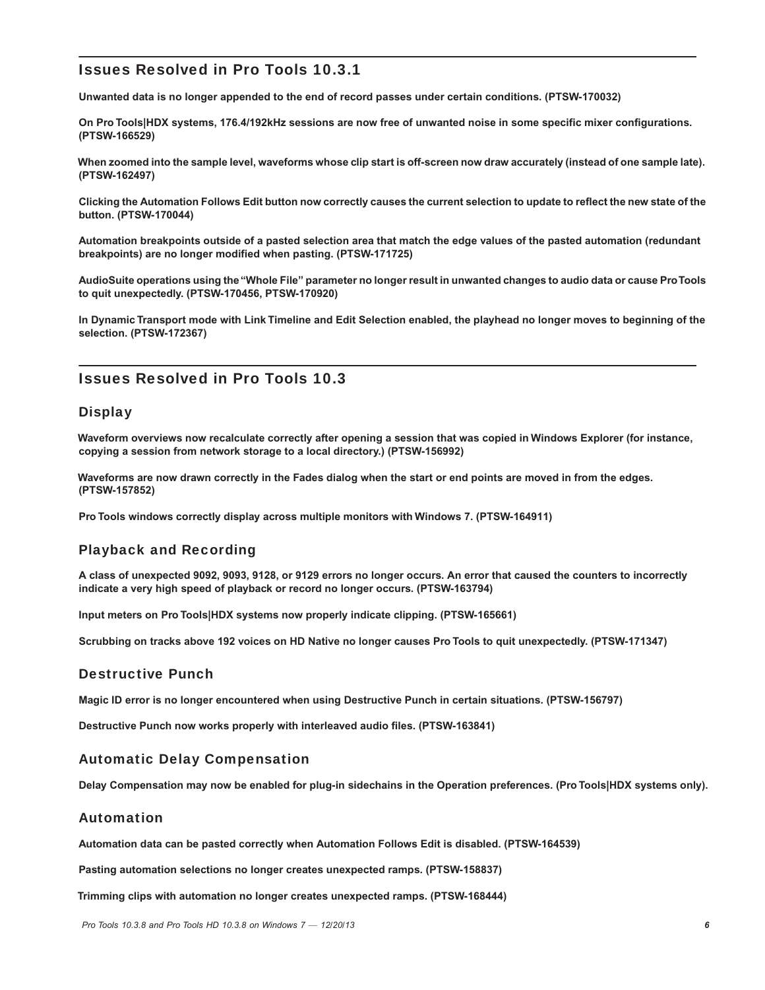**Unwanted data is no longer appended to the end of record passes under certain conditions. (PTSW-170032)**

**On Pro Tools|HDX systems, 176.4/192kHz sessions are now free of unwanted noise in some specific mixer configurations. (PTSW-166529)**

**When zoomed into the sample level, waveforms whose clip start is off-screen now draw accurately (instead of one sample late). (PTSW-162497)**

**Clicking the Automation Follows Edit button now correctly causes the current selection to update to reflect the new state of the button. (PTSW-170044)**

**Automation breakpoints outside of a pasted selection area that match the edge values of the pasted automation (redundant breakpoints) are no longer modified when pasting. (PTSW-171725)**

**AudioSuite operations using the "Whole File" parameter no longer result in unwanted changes to audio data or cause ProTools to quit unexpectedly. (PTSW-170456, PTSW-170920)**

**In Dynamic Transport mode with Link Timeline and Edit Selection enabled, the playhead no longer moves to beginning of the selection. (PTSW-172367)**

## Issues Resolved in Pro Tools 10.3

### **Display**

**Waveform overviews now recalculate correctly after opening a session that was copied in Windows Explorer (for instance, copying a session from network storage to a local directory.) (PTSW-156992)**

**Waveforms are now drawn correctly in the Fades dialog when the start or end points are moved in from the edges. (PTSW-157852)**

**Pro Tools windows correctly display across multiple monitors with Windows 7. (PTSW-164911)**

## Playback and Recording

**A class of unexpected 9092, 9093, 9128, or 9129 errors no longer occurs. An error that caused the counters to incorrectly indicate a very high speed of playback or record no longer occurs. (PTSW-163794)**

**Input meters on Pro Tools|HDX systems now properly indicate clipping. (PTSW-165661)**

**Scrubbing on tracks above 192 voices on HD Native no longer causes Pro Tools to quit unexpectedly. (PTSW-171347)**

### Destructive Punch

**Magic ID error is no longer encountered when using Destructive Punch in certain situations. (PTSW-156797)**

**Destructive Punch now works properly with interleaved audio files. (PTSW-163841)**

### Automatic Delay Compensation

**Delay Compensation may now be enabled for plug-in sidechains in the Operation preferences. (Pro Tools|HDX systems only).**

### Automation

**Automation data can be pasted correctly when Automation Follows Edit is disabled. (PTSW-164539)**

**Pasting automation selections no longer creates unexpected ramps. (PTSW-158837)**

**Trimming clips with automation no longer creates unexpected ramps. (PTSW-168444)**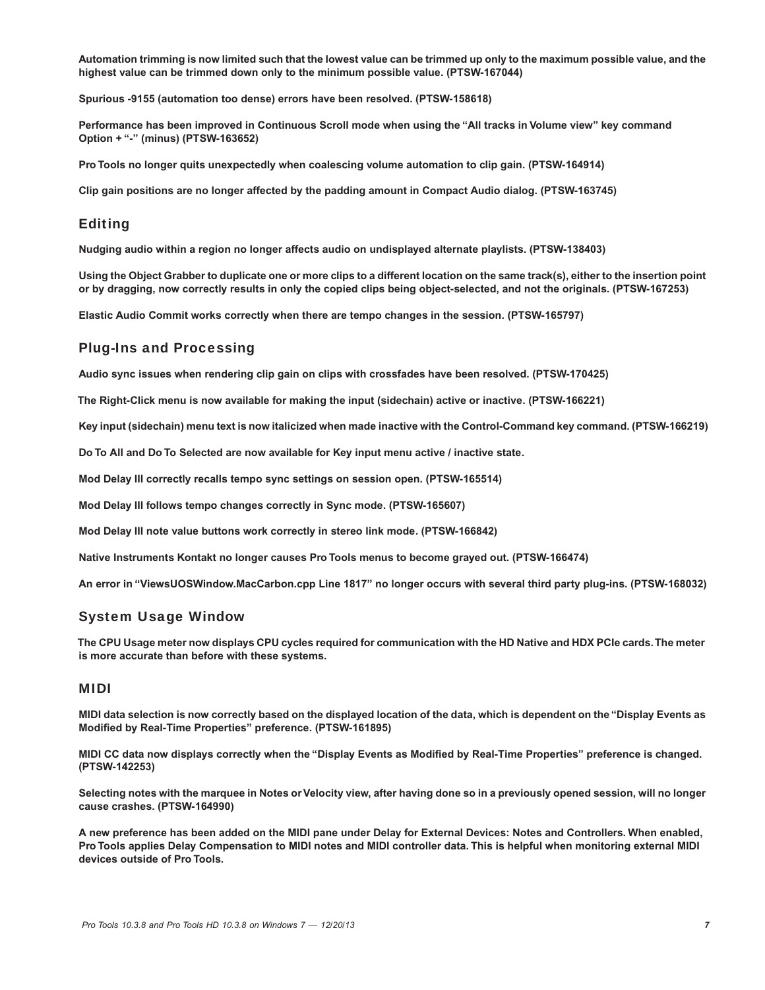**Automation trimming is now limited such that the lowest value can be trimmed up only to the maximum possible value, and the highest value can be trimmed down only to the minimum possible value. (PTSW-167044)**

**Spurious -9155 (automation too dense) errors have been resolved. (PTSW-158618)**

**Performance has been improved in Continuous Scroll mode when using the "All tracks in Volume view" key command Option + "-" (minus) (PTSW-163652)**

**Pro Tools no longer quits unexpectedly when coalescing volume automation to clip gain. (PTSW-164914)**

**Clip gain positions are no longer affected by the padding amount in Compact Audio dialog. (PTSW-163745)**

#### Editing

**Nudging audio within a region no longer affects audio on undisplayed alternate playlists. (PTSW-138403)**

**Using the Object Grabber to duplicate one or more clips to a different location on the same track(s), either to the insertion point or by dragging, now correctly results in only the copied clips being object-selected, and not the originals. (PTSW-167253)**

**Elastic Audio Commit works correctly when there are tempo changes in the session. (PTSW-165797)**

#### Plug-Ins and Processing

**Audio sync issues when rendering clip gain on clips with crossfades have been resolved. (PTSW-170425)**

**The Right-Click menu is now available for making the input (sidechain) active or inactive. (PTSW-166221)**

**Key input (sidechain) menu text is now italicized when made inactive with the Control-Command key command. (PTSW-166219)**

**Do To All and Do To Selected are now available for Key input menu active / inactive state.**

**Mod Delay III correctly recalls tempo sync settings on session open. (PTSW-165514)**

**Mod Delay III follows tempo changes correctly in Sync mode. (PTSW-165607)**

**Mod Delay III note value buttons work correctly in stereo link mode. (PTSW-166842)**

**Native Instruments Kontakt no longer causes Pro Tools menus to become grayed out. (PTSW-166474)**

**An error in "ViewsUOSWindow.MacCarbon.cpp Line 1817" no longer occurs with several third party plug-ins. (PTSW-168032)**

#### System Usage Window

**The CPU Usage meter now displays CPU cycles required for communication with the HD Native and HDX PCIe cards.The meter is more accurate than before with these systems.**

#### MIDI

**MIDI data selection is now correctly based on the displayed location of the data, which is dependent on the "Display Events as Modified by Real-Time Properties" preference. (PTSW-161895)**

**MIDI CC data now displays correctly when the "Display Events as Modified by Real-Time Properties" preference is changed. (PTSW-142253)**

**Selecting notes with the marquee in Notes or Velocity view, after having done so in a previously opened session, will no longer cause crashes. (PTSW-164990)**

**A new preference has been added on the MIDI pane under Delay for External Devices: Notes and Controllers. When enabled, Pro Tools applies Delay Compensation to MIDI notes and MIDI controller data. This is helpful when monitoring external MIDI devices outside of Pro Tools.**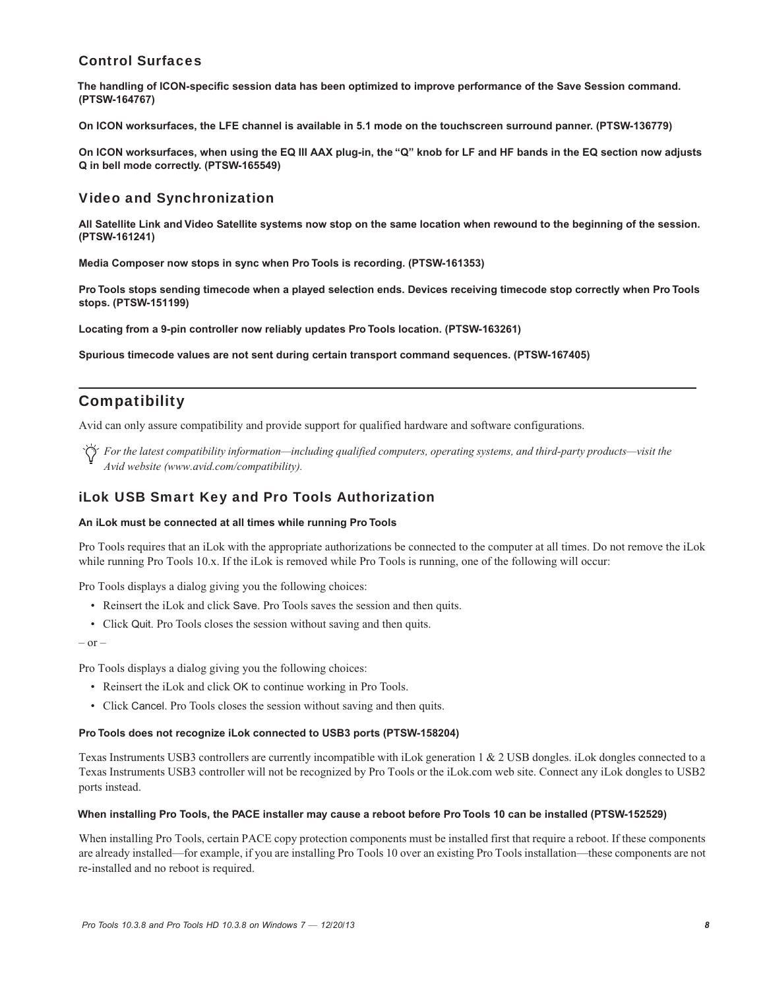## Control Surfaces

**The handling of ICON-specific session data has been optimized to improve performance of the Save Session command. (PTSW-164767)**

**On ICON worksurfaces, the LFE channel is available in 5.1 mode on the touchscreen surround panner. (PTSW-136779)**

**On ICON worksurfaces, when using the EQ III AAX plug-in, the "Q" knob for LF and HF bands in the EQ section now adjusts Q in bell mode correctly. (PTSW-165549)**

## Video and Synchronization

**All Satellite Link and Video Satellite systems now stop on the same location when rewound to the beginning of the session. (PTSW-161241)**

**Media Composer now stops in sync when Pro Tools is recording. (PTSW-161353)**

**Pro Tools stops sending timecode when a played selection ends. Devices receiving timecode stop correctly when Pro Tools stops. (PTSW-151199)**

**Locating from a 9-pin controller now reliably updates Pro Tools location. (PTSW-163261)**

**Spurious timecode values are not sent during certain transport command sequences. (PTSW-167405)**

## **Compatibility**

Avid can only assure compatibility and provide support for qualified hardware and software configurations.

*For the latest compatibility information—including qualified computers, operating systems, and third-party products—visit the Avid website (www.avid.com/compatibility).*

## iLok USB Smart Key and Pro Tools Authorization

#### **An iLok must be connected at all times while running Pro Tools**

Pro Tools requires that an iLok with the appropriate authorizations be connected to the computer at all times. Do not remove the iLok while running Pro Tools 10.x. If the iLok is removed while Pro Tools is running, one of the following will occur:

Pro Tools displays a dialog giving you the following choices:

- Reinsert the iLok and click Save. Pro Tools saves the session and then quits.
- Click Quit. Pro Tools closes the session without saving and then quits.

 $-$  or  $-$ 

Pro Tools displays a dialog giving you the following choices:

- Reinsert the iLok and click OK to continue working in Pro Tools.
- Click Cancel. Pro Tools closes the session without saving and then quits.

#### **Pro Tools does not recognize iLok connected to USB3 ports (PTSW-158204)**

Texas Instruments USB3 controllers are currently incompatible with iLok generation 1 & 2 USB dongles. iLok dongles connected to a Texas Instruments USB3 controller will not be recognized by Pro Tools or the iLok.com web site. Connect any iLok dongles to USB2 ports instead.

#### **When installing Pro Tools, the PACE installer may cause a reboot before Pro Tools 10 can be installed (PTSW-152529)**

When installing Pro Tools, certain PACE copy protection components must be installed first that require a reboot. If these components are already installed—for example, if you are installing Pro Tools 10 over an existing Pro Tools installation—these components are not re-installed and no reboot is required.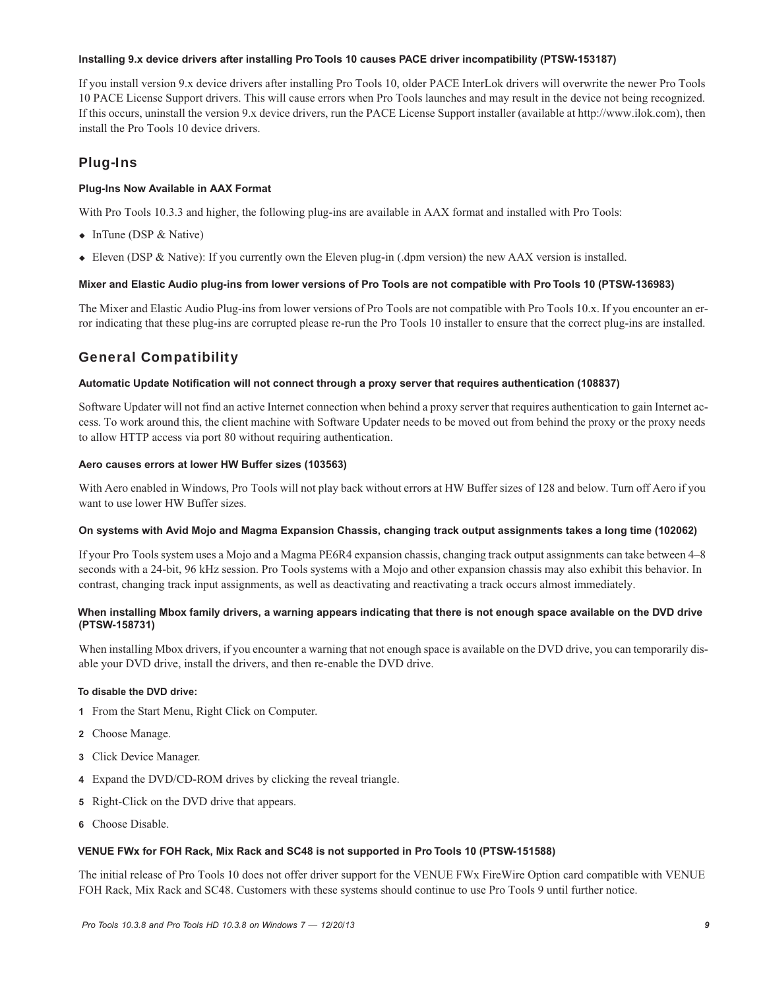#### **Installing 9.x device drivers after installing Pro Tools 10 causes PACE driver incompatibility (PTSW-153187)**

If you install version 9.x device drivers after installing Pro Tools 10, older PACE InterLok drivers will overwrite the newer Pro Tools 10 PACE License Support drivers. This will cause errors when Pro Tools launches and may result in the device not being recognized. If this occurs, uninstall the version 9.x device drivers, run the PACE License Support installer (available at http://www.ilok.com), then install the Pro Tools 10 device drivers.

## Plug-Ins

#### **Plug-Ins Now Available in AAX Format**

With Pro Tools 10.3.3 and higher, the following plug-ins are available in AAX format and installed with Pro Tools:

- InTune (DSP & Native)
- Eleven (DSP & Native): If you currently own the Eleven plug-in (.dpm version) the new AAX version is installed.

#### **Mixer and Elastic Audio plug-ins from lower versions of Pro Tools are not compatible with Pro Tools 10 (PTSW-136983)**

The Mixer and Elastic Audio Plug-ins from lower versions of Pro Tools are not compatible with Pro Tools 10.x. If you encounter an error indicating that these plug-ins are corrupted please re-run the Pro Tools 10 installer to ensure that the correct plug-ins are installed.

## General Compatibility

#### **Automatic Update Notification will not connect through a proxy server that requires authentication (108837)**

Software Updater will not find an active Internet connection when behind a proxy server that requires authentication to gain Internet access. To work around this, the client machine with Software Updater needs to be moved out from behind the proxy or the proxy needs to allow HTTP access via port 80 without requiring authentication.

#### **Aero causes errors at lower HW Buffer sizes (103563)**

With Aero enabled in Windows, Pro Tools will not play back without errors at HW Buffer sizes of 128 and below. Turn off Aero if you want to use lower HW Buffer sizes.

#### **On systems with Avid Mojo and Magma Expansion Chassis, changing track output assignments takes a long time (102062)**

If your Pro Tools system uses a Mojo and a Magma PE6R4 expansion chassis, changing track output assignments can take between 4–8 seconds with a 24-bit, 96 kHz session. Pro Tools systems with a Mojo and other expansion chassis may also exhibit this behavior. In contrast, changing track input assignments, as well as deactivating and reactivating a track occurs almost immediately.

#### **When installing Mbox family drivers, a warning appears indicating that there is not enough space available on the DVD drive (PTSW-158731)**

When installing Mbox drivers, if you encounter a warning that not enough space is available on the DVD drive, you can temporarily disable your DVD drive, install the drivers, and then re-enable the DVD drive.

#### **To disable the DVD drive:**

- **1** From the Start Menu, Right Click on Computer.
- **2** Choose Manage.
- **3** Click Device Manager.
- **4** Expand the DVD/CD-ROM drives by clicking the reveal triangle.
- **5** Right-Click on the DVD drive that appears.
- **6** Choose Disable.

#### **VENUE FWx for FOH Rack, Mix Rack and SC48 is not supported in Pro Tools 10 (PTSW-151588)**

The initial release of Pro Tools 10 does not offer driver support for the VENUE FWx FireWire Option card compatible with VENUE FOH Rack, Mix Rack and SC48. Customers with these systems should continue to use Pro Tools 9 until further notice.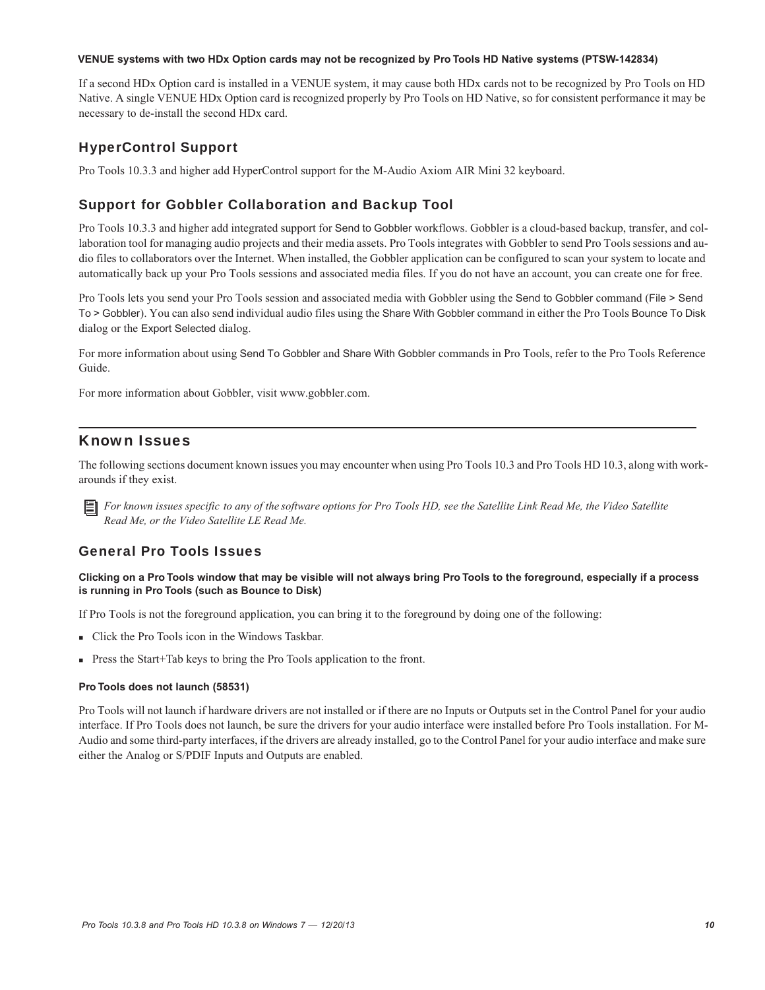#### **VENUE systems with two HDx Option cards may not be recognized by Pro Tools HD Native systems (PTSW-142834)**

If a second HDx Option card is installed in a VENUE system, it may cause both HDx cards not to be recognized by Pro Tools on HD Native. A single VENUE HDx Option card is recognized properly by Pro Tools on HD Native, so for consistent performance it may be necessary to de-install the second HDx card.

## HyperControl Support

Pro Tools 10.3.3 and higher add HyperControl support for the M-Audio Axiom AIR Mini 32 keyboard.

## Support for Gobbler Collaboration and Backup Tool

Pro Tools 10.3.3 and higher add integrated support for Send to Gobbler workflows. Gobbler is a cloud-based backup, transfer, and collaboration tool for managing audio projects and their media assets. Pro Tools integrates with Gobbler to send Pro Tools sessions and audio files to collaborators over the Internet. When installed, the Gobbler application can be configured to scan your system to locate and automatically back up your Pro Tools sessions and associated media files. If you do not have an account, you can create one for free.

Pro Tools lets you send your Pro Tools session and associated media with Gobbler using the Send to Gobbler command (File > Send To > Gobbler). You can also send individual audio files using the Share With Gobbler command in either the Pro Tools Bounce To Disk dialog or the Export Selected dialog.

For more information about using Send To Gobbler and Share With Gobbler commands in Pro Tools, refer to the Pro Tools Reference Guide.

For more information about Gobbler, visit www.gobbler.com.

## Known Issues

The following sections document known issues you may encounter when using Pro Tools 10.3 and Pro Tools HD 10.3, along with workarounds if they exist.

*For known issues specific to any of the software options for Pro Tools HD, see the Satellite Link Read Me, the Video Satellite Read Me, or the Video Satellite LE Read Me.*

## General Pro Tools Issues

#### **Clicking on a Pro Tools window that may be visible will not always bring Pro Tools to the foreground, especially if a process is running in Pro Tools (such as Bounce to Disk)**

If Pro Tools is not the foreground application, you can bring it to the foreground by doing one of the following:

- Click the Pro Tools icon in the Windows Taskbar.
- Press the Start+Tab keys to bring the Pro Tools application to the front.

#### **Pro Tools does not launch (58531)**

Pro Tools will not launch if hardware drivers are not installed or if there are no Inputs or Outputs set in the Control Panel for your audio interface. If Pro Tools does not launch, be sure the drivers for your audio interface were installed before Pro Tools installation. For M-Audio and some third-party interfaces, if the drivers are already installed, go to the Control Panel for your audio interface and make sure either the Analog or S/PDIF Inputs and Outputs are enabled.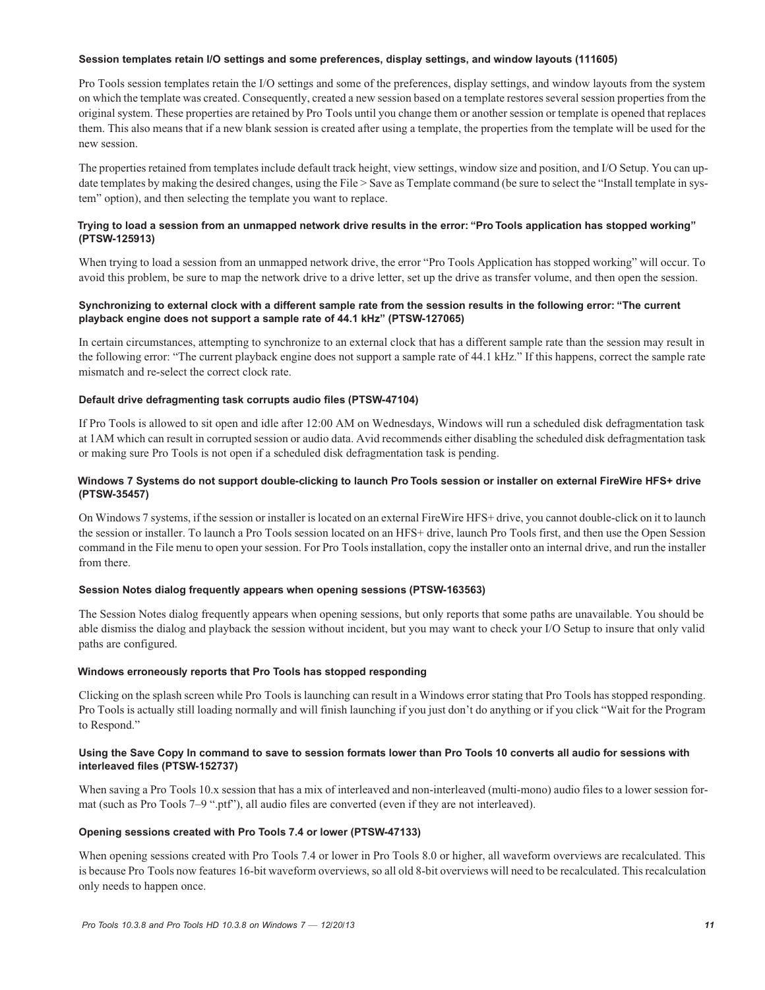#### **Session templates retain I/O settings and some preferences, display settings, and window layouts (111605)**

Pro Tools session templates retain the I/O settings and some of the preferences, display settings, and window layouts from the system on which the template was created. Consequently, created a new session based on a template restores several session properties from the original system. These properties are retained by Pro Tools until you change them or another session or template is opened that replaces them. This also means that if a new blank session is created after using a template, the properties from the template will be used for the new session.

The properties retained from templates include default track height, view settings, window size and position, and I/O Setup. You can update templates by making the desired changes, using the File > Save as Template command (be sure to select the "Install template in system" option), and then selecting the template you want to replace.

#### **Trying to load a session from an unmapped network drive results in the error: "Pro Tools application has stopped working" (PTSW-125913)**

When trying to load a session from an unmapped network drive, the error "Pro Tools Application has stopped working" will occur. To avoid this problem, be sure to map the network drive to a drive letter, set up the drive as transfer volume, and then open the session.

#### **Synchronizing to external clock with a different sample rate from the session results in the following error: "The current playback engine does not support a sample rate of 44.1 kHz" (PTSW-127065)**

In certain circumstances, attempting to synchronize to an external clock that has a different sample rate than the session may result in the following error: "The current playback engine does not support a sample rate of 44.1 kHz." If this happens, correct the sample rate mismatch and re-select the correct clock rate.

#### **Default drive defragmenting task corrupts audio files (PTSW-47104)**

If Pro Tools is allowed to sit open and idle after 12:00 AM on Wednesdays, Windows will run a scheduled disk defragmentation task at 1AM which can result in corrupted session or audio data. Avid recommends either disabling the scheduled disk defragmentation task or making sure Pro Tools is not open if a scheduled disk defragmentation task is pending.

#### **Windows 7 Systems do not support double-clicking to launch Pro Tools session or installer on external FireWire HFS+ drive (PTSW-35457)**

On Windows 7 systems, if the session or installer is located on an external FireWire HFS+ drive, you cannot double-click on it to launch the session or installer. To launch a Pro Tools session located on an HFS+ drive, launch Pro Tools first, and then use the Open Session command in the File menu to open your session. For Pro Tools installation, copy the installer onto an internal drive, and run the installer from there.

#### **Session Notes dialog frequently appears when opening sessions (PTSW-163563)**

The Session Notes dialog frequently appears when opening sessions, but only reports that some paths are unavailable. You should be able dismiss the dialog and playback the session without incident, but you may want to check your I/O Setup to insure that only valid paths are configured.

#### **Windows erroneously reports that Pro Tools has stopped responding**

Clicking on the splash screen while Pro Tools is launching can result in a Windows error stating that Pro Tools has stopped responding. Pro Tools is actually still loading normally and will finish launching if you just don't do anything or if you click "Wait for the Program to Respond."

#### **Using the Save Copy In command to save to session formats lower than Pro Tools 10 converts all audio for sessions with interleaved files (PTSW-152737)**

When saving a Pro Tools 10.x session that has a mix of interleaved and non-interleaved (multi-mono) audio files to a lower session format (such as Pro Tools 7–9 ".ptf"), all audio files are converted (even if they are not interleaved).

#### **Opening sessions created with Pro Tools 7.4 or lower (PTSW-47133)**

When opening sessions created with Pro Tools 7.4 or lower in Pro Tools 8.0 or higher, all waveform overviews are recalculated. This is because Pro Tools now features 16-bit waveform overviews, so all old 8-bit overviews will need to be recalculated. This recalculation only needs to happen once.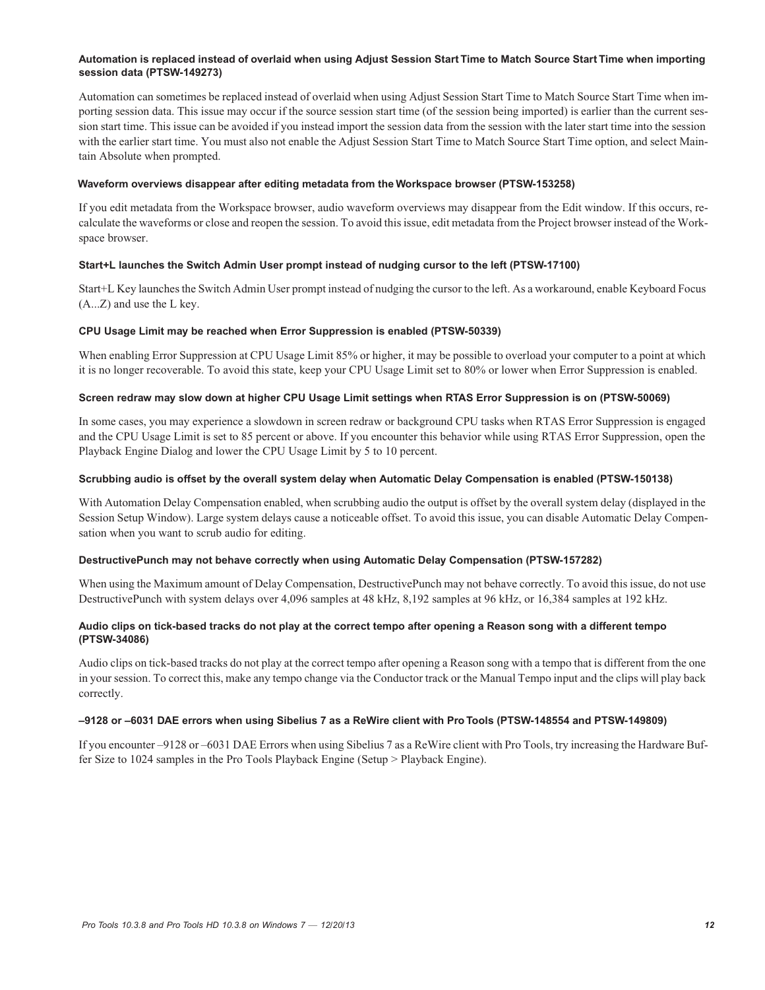#### **Automation is replaced instead of overlaid when using Adjust Session Start Time to Match Source Start Time when importing session data (PTSW-149273)**

Automation can sometimes be replaced instead of overlaid when using Adjust Session Start Time to Match Source Start Time when importing session data. This issue may occur if the source session start time (of the session being imported) is earlier than the current session start time. This issue can be avoided if you instead import the session data from the session with the later start time into the session with the earlier start time. You must also not enable the Adjust Session Start Time to Match Source Start Time option, and select Maintain Absolute when prompted.

#### **Waveform overviews disappear after editing metadata from the Workspace browser (PTSW-153258)**

If you edit metadata from the Workspace browser, audio waveform overviews may disappear from the Edit window. If this occurs, recalculate the waveforms or close and reopen the session. To avoid this issue, edit metadata from the Project browser instead of the Workspace browser.

#### **Start+L launches the Switch Admin User prompt instead of nudging cursor to the left (PTSW-17100)**

Start+L Key launches the Switch Admin User prompt instead of nudging the cursor to the left. As a workaround, enable Keyboard Focus (A...Z) and use the L key.

#### **CPU Usage Limit may be reached when Error Suppression is enabled (PTSW-50339)**

When enabling Error Suppression at CPU Usage Limit 85% or higher, it may be possible to overload your computer to a point at which it is no longer recoverable. To avoid this state, keep your CPU Usage Limit set to 80% or lower when Error Suppression is enabled.

#### **Screen redraw may slow down at higher CPU Usage Limit settings when RTAS Error Suppression is on (PTSW-50069)**

In some cases, you may experience a slowdown in screen redraw or background CPU tasks when RTAS Error Suppression is engaged and the CPU Usage Limit is set to 85 percent or above. If you encounter this behavior while using RTAS Error Suppression, open the Playback Engine Dialog and lower the CPU Usage Limit by 5 to 10 percent.

#### **Scrubbing audio is offset by the overall system delay when Automatic Delay Compensation is enabled (PTSW-150138)**

With Automation Delay Compensation enabled, when scrubbing audio the output is offset by the overall system delay (displayed in the Session Setup Window). Large system delays cause a noticeable offset. To avoid this issue, you can disable Automatic Delay Compensation when you want to scrub audio for editing.

#### **DestructivePunch may not behave correctly when using Automatic Delay Compensation (PTSW-157282)**

When using the Maximum amount of Delay Compensation, DestructivePunch may not behave correctly. To avoid this issue, do not use DestructivePunch with system delays over 4,096 samples at 48 kHz, 8,192 samples at 96 kHz, or 16,384 samples at 192 kHz.

#### **Audio clips on tick-based tracks do not play at the correct tempo after opening a Reason song with a different tempo (PTSW-34086)**

Audio clips on tick-based tracks do not play at the correct tempo after opening a Reason song with a tempo that is different from the one in your session. To correct this, make any tempo change via the Conductor track or the Manual Tempo input and the clips will play back correctly.

#### **–9128 or –6031 DAE errors when using Sibelius 7 as a ReWire client with Pro Tools (PTSW-148554 and PTSW-149809)**

If you encounter –9128 or –6031 DAE Errors when using Sibelius 7 as a ReWire client with Pro Tools, try increasing the Hardware Buffer Size to 1024 samples in the Pro Tools Playback Engine (Setup > Playback Engine).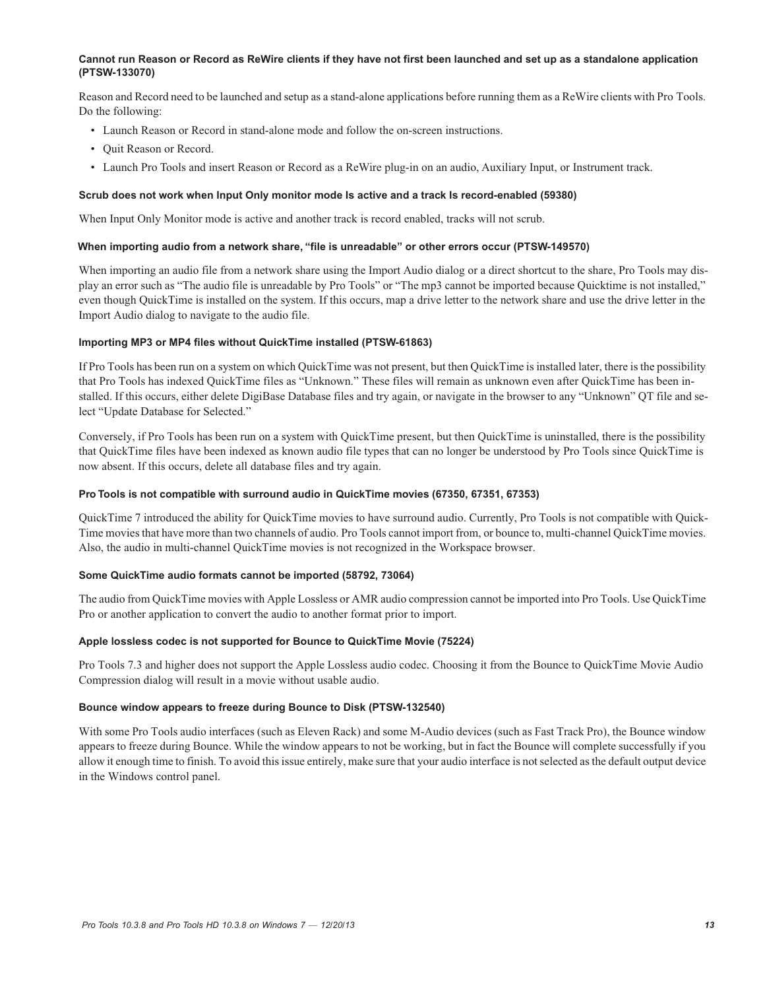#### **Cannot run Reason or Record as ReWire clients if they have not first been launched and set up as a standalone application (PTSW-133070)**

Reason and Record need to be launched and setup as a stand-alone applications before running them as a ReWire clients with Pro Tools. Do the following:

- Launch Reason or Record in stand-alone mode and follow the on-screen instructions.
- Quit Reason or Record.
- Launch Pro Tools and insert Reason or Record as a ReWire plug-in on an audio, Auxiliary Input, or Instrument track.

#### **Scrub does not work when Input Only monitor mode Is active and a track Is record-enabled (59380)**

When Input Only Monitor mode is active and another track is record enabled, tracks will not scrub.

#### **When importing audio from a network share, "file is unreadable" or other errors occur (PTSW-149570)**

When importing an audio file from a network share using the Import Audio dialog or a direct shortcut to the share, Pro Tools may display an error such as "The audio file is unreadable by Pro Tools" or "The mp3 cannot be imported because Quicktime is not installed," even though QuickTime is installed on the system. If this occurs, map a drive letter to the network share and use the drive letter in the Import Audio dialog to navigate to the audio file.

#### **Importing MP3 or MP4 files without QuickTime installed (PTSW-61863)**

If Pro Tools has been run on a system on which QuickTime was not present, but then QuickTime is installed later, there is the possibility that Pro Tools has indexed QuickTime files as "Unknown." These files will remain as unknown even after QuickTime has been installed. If this occurs, either delete DigiBase Database files and try again, or navigate in the browser to any "Unknown" QT file and select "Update Database for Selected."

Conversely, if Pro Tools has been run on a system with QuickTime present, but then QuickTime is uninstalled, there is the possibility that QuickTime files have been indexed as known audio file types that can no longer be understood by Pro Tools since QuickTime is now absent. If this occurs, delete all database files and try again.

#### **Pro Tools is not compatible with surround audio in QuickTime movies (67350, 67351, 67353)**

QuickTime 7 introduced the ability for QuickTime movies to have surround audio. Currently, Pro Tools is not compatible with Quick-Time movies that have more than two channels of audio. Pro Tools cannot import from, or bounce to, multi-channel QuickTime movies. Also, the audio in multi-channel QuickTime movies is not recognized in the Workspace browser.

#### **Some QuickTime audio formats cannot be imported (58792, 73064)**

The audio from QuickTime movies with Apple Lossless or AMR audio compression cannot be imported into Pro Tools. Use QuickTime Pro or another application to convert the audio to another format prior to import.

#### **Apple lossless codec is not supported for Bounce to QuickTime Movie (75224)**

Pro Tools 7.3 and higher does not support the Apple Lossless audio codec. Choosing it from the Bounce to QuickTime Movie Audio Compression dialog will result in a movie without usable audio.

#### **Bounce window appears to freeze during Bounce to Disk (PTSW-132540)**

With some Pro Tools audio interfaces (such as Eleven Rack) and some M-Audio devices (such as Fast Track Pro), the Bounce window appears to freeze during Bounce. While the window appears to not be working, but in fact the Bounce will complete successfully if you allow it enough time to finish. To avoid this issue entirely, make sure that your audio interface is not selected as the default output device in the Windows control panel.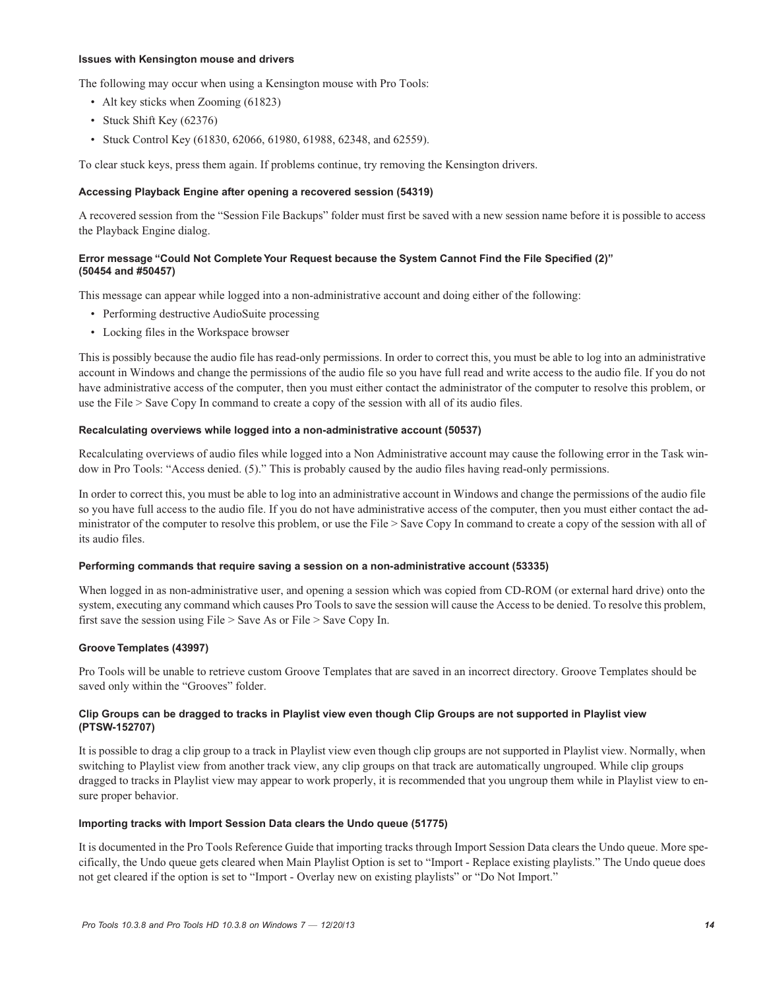#### **Issues with Kensington mouse and drivers**

The following may occur when using a Kensington mouse with Pro Tools:

- Alt key sticks when Zooming (61823)
- Stuck Shift Key (62376)
- Stuck Control Key (61830, 62066, 61980, 61988, 62348, and 62559).

To clear stuck keys, press them again. If problems continue, try removing the Kensington drivers.

#### **Accessing Playback Engine after opening a recovered session (54319)**

A recovered session from the "Session File Backups" folder must first be saved with a new session name before it is possible to access the Playback Engine dialog.

#### **Error message "Could Not Complete Your Request because the System Cannot Find the File Specified (2)" (50454 and #50457)**

This message can appear while logged into a non-administrative account and doing either of the following:

- Performing destructive AudioSuite processing
- Locking files in the Workspace browser

This is possibly because the audio file has read-only permissions. In order to correct this, you must be able to log into an administrative account in Windows and change the permissions of the audio file so you have full read and write access to the audio file. If you do not have administrative access of the computer, then you must either contact the administrator of the computer to resolve this problem, or use the File > Save Copy In command to create a copy of the session with all of its audio files.

#### **Recalculating overviews while logged into a non-administrative account (50537)**

Recalculating overviews of audio files while logged into a Non Administrative account may cause the following error in the Task window in Pro Tools: "Access denied. (5)." This is probably caused by the audio files having read-only permissions.

In order to correct this, you must be able to log into an administrative account in Windows and change the permissions of the audio file so you have full access to the audio file. If you do not have administrative access of the computer, then you must either contact the administrator of the computer to resolve this problem, or use the File > Save Copy In command to create a copy of the session with all of its audio files.

#### **Performing commands that require saving a session on a non-administrative account (53335)**

When logged in as non-administrative user, and opening a session which was copied from CD-ROM (or external hard drive) onto the system, executing any command which causes Pro Tools to save the session will cause the Access to be denied. To resolve this problem, first save the session using File > Save As or File > Save Copy In.

#### **Groove Templates (43997)**

Pro Tools will be unable to retrieve custom Groove Templates that are saved in an incorrect directory. Groove Templates should be saved only within the "Grooves" folder.

#### **Clip Groups can be dragged to tracks in Playlist view even though Clip Groups are not supported in Playlist view (PTSW-152707)**

It is possible to drag a clip group to a track in Playlist view even though clip groups are not supported in Playlist view. Normally, when switching to Playlist view from another track view, any clip groups on that track are automatically ungrouped. While clip groups dragged to tracks in Playlist view may appear to work properly, it is recommended that you ungroup them while in Playlist view to ensure proper behavior.

#### **Importing tracks with Import Session Data clears the Undo queue (51775)**

It is documented in the Pro Tools Reference Guide that importing tracks through Import Session Data clears the Undo queue. More specifically, the Undo queue gets cleared when Main Playlist Option is set to "Import - Replace existing playlists." The Undo queue does not get cleared if the option is set to "Import - Overlay new on existing playlists" or "Do Not Import."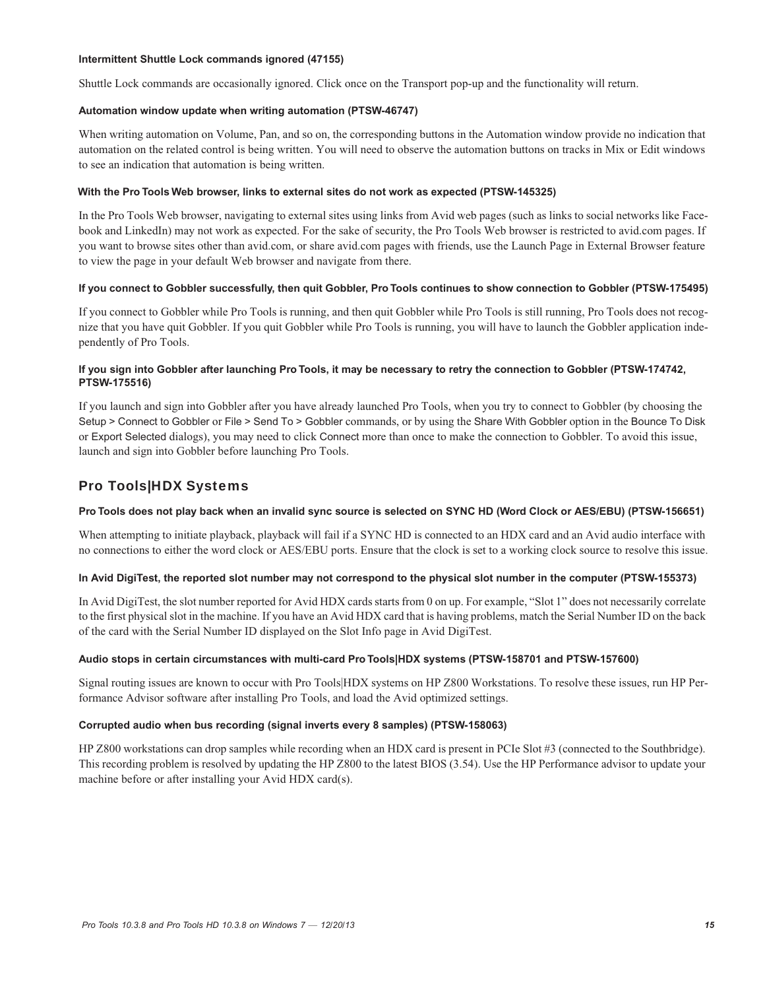#### **Intermittent Shuttle Lock commands ignored (47155)**

Shuttle Lock commands are occasionally ignored. Click once on the Transport pop-up and the functionality will return.

#### **Automation window update when writing automation (PTSW-46747)**

When writing automation on Volume, Pan, and so on, the corresponding buttons in the Automation window provide no indication that automation on the related control is being written. You will need to observe the automation buttons on tracks in Mix or Edit windows to see an indication that automation is being written.

#### **With the Pro Tools Web browser, links to external sites do not work as expected (PTSW-145325)**

In the Pro Tools Web browser, navigating to external sites using links from Avid web pages (such as links to social networks like Facebook and LinkedIn) may not work as expected. For the sake of security, the Pro Tools Web browser is restricted to avid.com pages. If you want to browse sites other than avid.com, or share avid.com pages with friends, use the Launch Page in External Browser feature to view the page in your default Web browser and navigate from there.

#### **If you connect to Gobbler successfully, then quit Gobbler, Pro Tools continues to show connection to Gobbler (PTSW-175495)**

If you connect to Gobbler while Pro Tools is running, and then quit Gobbler while Pro Tools is still running, Pro Tools does not recognize that you have quit Gobbler. If you quit Gobbler while Pro Tools is running, you will have to launch the Gobbler application independently of Pro Tools.

#### **If you sign into Gobbler after launching Pro Tools, it may be necessary to retry the connection to Gobbler (PTSW-174742, PTSW-175516)**

If you launch and sign into Gobbler after you have already launched Pro Tools, when you try to connect to Gobbler (by choosing the Setup > Connect to Gobbler or File > Send To > Gobbler commands, or by using the Share With Gobbler option in the Bounce To Disk or Export Selected dialogs), you may need to click Connect more than once to make the connection to Gobbler. To avoid this issue, launch and sign into Gobbler before launching Pro Tools.

## Pro Tools|HDX Systems

#### **Pro Tools does not play back when an invalid sync source is selected on SYNC HD (Word Clock or AES/EBU) (PTSW-156651)**

When attempting to initiate playback, playback will fail if a SYNC HD is connected to an HDX card and an Avid audio interface with no connections to either the word clock or AES/EBU ports. Ensure that the clock is set to a working clock source to resolve this issue.

#### **In Avid DigiTest, the reported slot number may not correspond to the physical slot number in the computer (PTSW-155373)**

In Avid DigiTest, the slot number reported for Avid HDX cards starts from 0 on up. For example, "Slot 1" does not necessarily correlate to the first physical slot in the machine. If you have an Avid HDX card that is having problems, match the Serial Number ID on the back of the card with the Serial Number ID displayed on the Slot Info page in Avid DigiTest.

#### **Audio stops in certain circumstances with multi-card Pro Tools|HDX systems (PTSW-158701 and PTSW-157600)**

Signal routing issues are known to occur with Pro Tools|HDX systems on HP Z800 Workstations. To resolve these issues, run HP Performance Advisor software after installing Pro Tools, and load the Avid optimized settings.

#### **Corrupted audio when bus recording (signal inverts every 8 samples) (PTSW-158063)**

HP Z800 workstations can drop samples while recording when an HDX card is present in PCIe Slot #3 (connected to the Southbridge). This recording problem is resolved by updating the HP Z800 to the latest BIOS (3.54). Use the HP Performance advisor to update your machine before or after installing your Avid HDX card(s).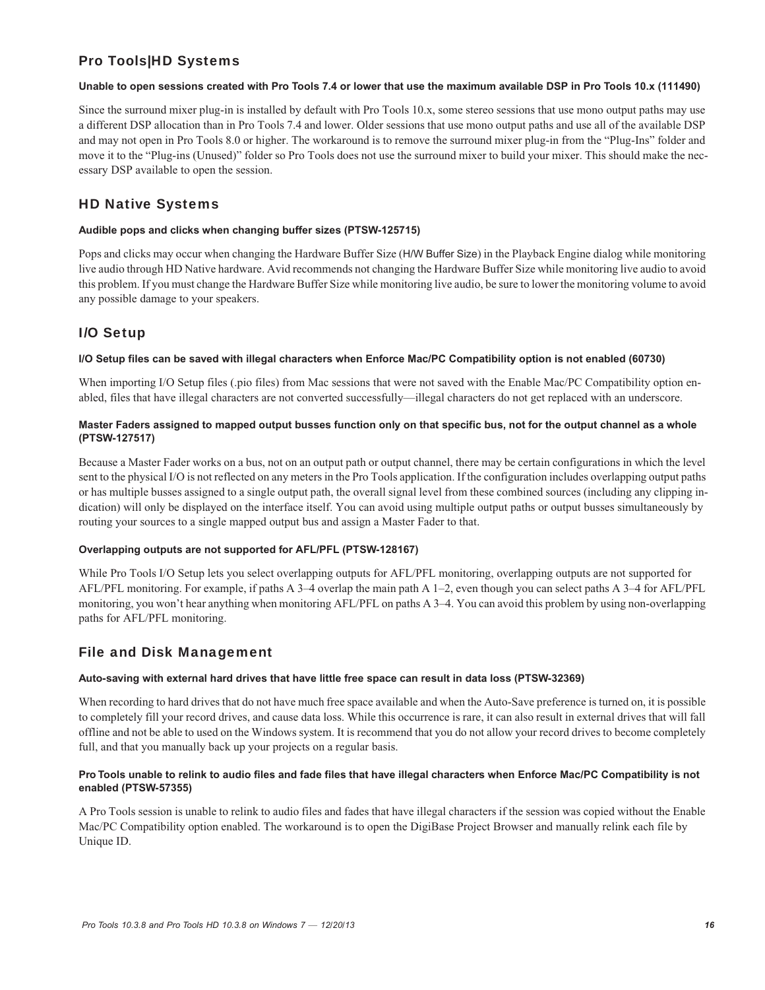## Pro Tools|HD Systems

#### **Unable to open sessions created with Pro Tools 7.4 or lower that use the maximum available DSP in Pro Tools 10.x (111490)**

Since the surround mixer plug-in is installed by default with Pro Tools 10.x, some stereo sessions that use mono output paths may use a different DSP allocation than in Pro Tools 7.4 and lower. Older sessions that use mono output paths and use all of the available DSP and may not open in Pro Tools 8.0 or higher. The workaround is to remove the surround mixer plug-in from the "Plug-Ins" folder and move it to the "Plug-ins (Unused)" folder so Pro Tools does not use the surround mixer to build your mixer. This should make the necessary DSP available to open the session.

## HD Native Systems

#### **Audible pops and clicks when changing buffer sizes (PTSW-125715)**

Pops and clicks may occur when changing the Hardware Buffer Size (H/W Buffer Size) in the Playback Engine dialog while monitoring live audio through HD Native hardware. Avid recommends not changing the Hardware Buffer Size while monitoring live audio to avoid this problem. If you must change the Hardware Buffer Size while monitoring live audio, be sure to lower the monitoring volume to avoid any possible damage to your speakers.

## I/O Setup

#### **I/O Setup files can be saved with illegal characters when Enforce Mac/PC Compatibility option is not enabled (60730)**

When importing I/O Setup files (.pio files) from Mac sessions that were not saved with the Enable Mac/PC Compatibility option enabled, files that have illegal characters are not converted successfully—illegal characters do not get replaced with an underscore.

#### **Master Faders assigned to mapped output busses function only on that specific bus, not for the output channel as a whole (PTSW-127517)**

Because a Master Fader works on a bus, not on an output path or output channel, there may be certain configurations in which the level sent to the physical I/O is not reflected on any meters in the Pro Tools application. If the configuration includes overlapping output paths or has multiple busses assigned to a single output path, the overall signal level from these combined sources (including any clipping indication) will only be displayed on the interface itself. You can avoid using multiple output paths or output busses simultaneously by routing your sources to a single mapped output bus and assign a Master Fader to that.

#### **Overlapping outputs are not supported for AFL/PFL (PTSW-128167)**

While Pro Tools I/O Setup lets you select overlapping outputs for AFL/PFL monitoring, overlapping outputs are not supported for AFL/PFL monitoring. For example, if paths A 3–4 overlap the main path A 1–2, even though you can select paths A 3–4 for AFL/PFL monitoring, you won't hear anything when monitoring AFL/PFL on paths A 3–4. You can avoid this problem by using non-overlapping paths for AFL/PFL monitoring.

## File and Disk Management

#### **Auto-saving with external hard drives that have little free space can result in data loss (PTSW-32369)**

When recording to hard drives that do not have much free space available and when the Auto-Save preference is turned on, it is possible to completely fill your record drives, and cause data loss. While this occurrence is rare, it can also result in external drives that will fall offline and not be able to used on the Windows system. It is recommend that you do not allow your record drives to become completely full, and that you manually back up your projects on a regular basis.

#### **Pro Tools unable to relink to audio files and fade files that have illegal characters when Enforce Mac/PC Compatibility is not enabled (PTSW-57355)**

A Pro Tools session is unable to relink to audio files and fades that have illegal characters if the session was copied without the Enable Mac/PC Compatibility option enabled. The workaround is to open the DigiBase Project Browser and manually relink each file by Unique ID.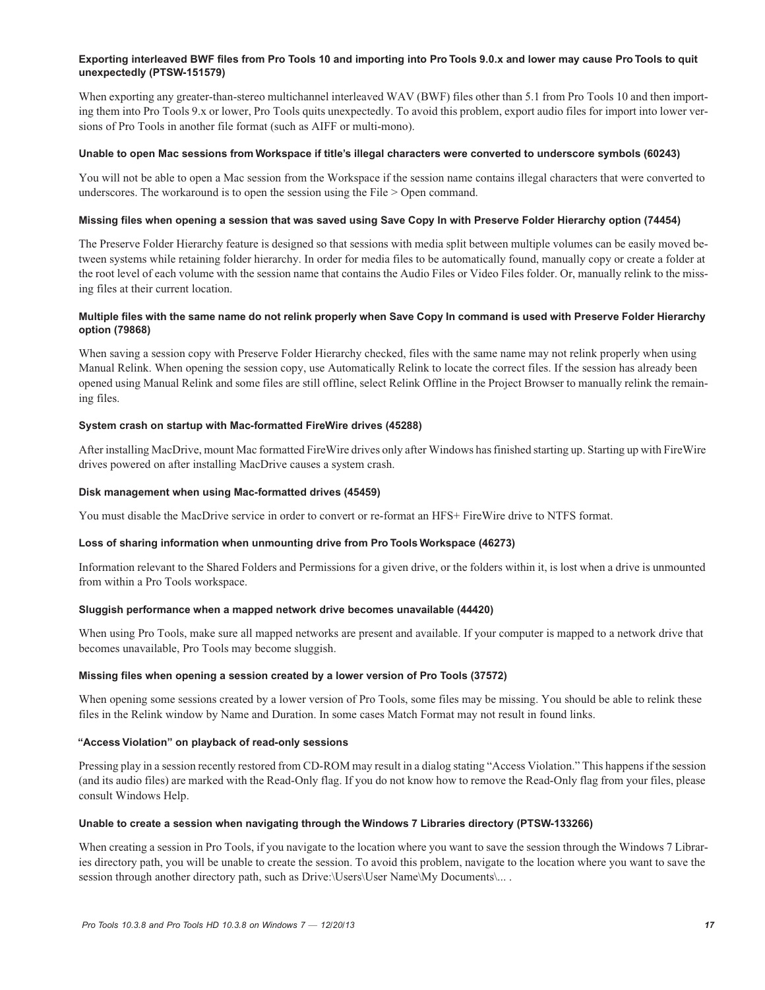#### **Exporting interleaved BWF files from Pro Tools 10 and importing into Pro Tools 9.0.x and lower may cause Pro Tools to quit unexpectedly (PTSW-151579)**

When exporting any greater-than-stereo multichannel interleaved WAV (BWF) files other than 5.1 from Pro Tools 10 and then importing them into Pro Tools 9.x or lower, Pro Tools quits unexpectedly. To avoid this problem, export audio files for import into lower versions of Pro Tools in another file format (such as AIFF or multi-mono).

#### **Unable to open Mac sessions from Workspace if title's illegal characters were converted to underscore symbols (60243)**

You will not be able to open a Mac session from the Workspace if the session name contains illegal characters that were converted to underscores. The workaround is to open the session using the File > Open command.

#### **Missing files when opening a session that was saved using Save Copy In with Preserve Folder Hierarchy option (74454)**

The Preserve Folder Hierarchy feature is designed so that sessions with media split between multiple volumes can be easily moved between systems while retaining folder hierarchy. In order for media files to be automatically found, manually copy or create a folder at the root level of each volume with the session name that contains the Audio Files or Video Files folder. Or, manually relink to the missing files at their current location.

#### **Multiple files with the same name do not relink properly when Save Copy In command is used with Preserve Folder Hierarchy option (79868)**

When saving a session copy with Preserve Folder Hierarchy checked, files with the same name may not relink properly when using Manual Relink. When opening the session copy, use Automatically Relink to locate the correct files. If the session has already been opened using Manual Relink and some files are still offline, select Relink Offline in the Project Browser to manually relink the remaining files.

#### **System crash on startup with Mac-formatted FireWire drives (45288)**

After installing MacDrive, mount Mac formatted FireWire drives only after Windows has finished starting up. Starting up with FireWire drives powered on after installing MacDrive causes a system crash.

#### **Disk management when using Mac-formatted drives (45459)**

You must disable the MacDrive service in order to convert or re-format an HFS+ FireWire drive to NTFS format.

#### **Loss of sharing information when unmounting drive from Pro Tools Workspace (46273)**

Information relevant to the Shared Folders and Permissions for a given drive, or the folders within it, is lost when a drive is unmounted from within a Pro Tools workspace.

#### **Sluggish performance when a mapped network drive becomes unavailable (44420)**

When using Pro Tools, make sure all mapped networks are present and available. If your computer is mapped to a network drive that becomes unavailable, Pro Tools may become sluggish.

#### **Missing files when opening a session created by a lower version of Pro Tools (37572)**

When opening some sessions created by a lower version of Pro Tools, some files may be missing. You should be able to relink these files in the Relink window by Name and Duration. In some cases Match Format may not result in found links.

#### **"Access Violation" on playback of read-only sessions**

Pressing play in a session recently restored from CD-ROM may result in a dialog stating "Access Violation." This happens if the session (and its audio files) are marked with the Read-Only flag. If you do not know how to remove the Read-Only flag from your files, please consult Windows Help.

#### **Unable to create a session when navigating through the Windows 7 Libraries directory (PTSW-133266)**

When creating a session in Pro Tools, if you navigate to the location where you want to save the session through the Windows 7 Libraries directory path, you will be unable to create the session. To avoid this problem, navigate to the location where you want to save the session through another directory path, such as Drive:\Users\User Name\My Documents\... .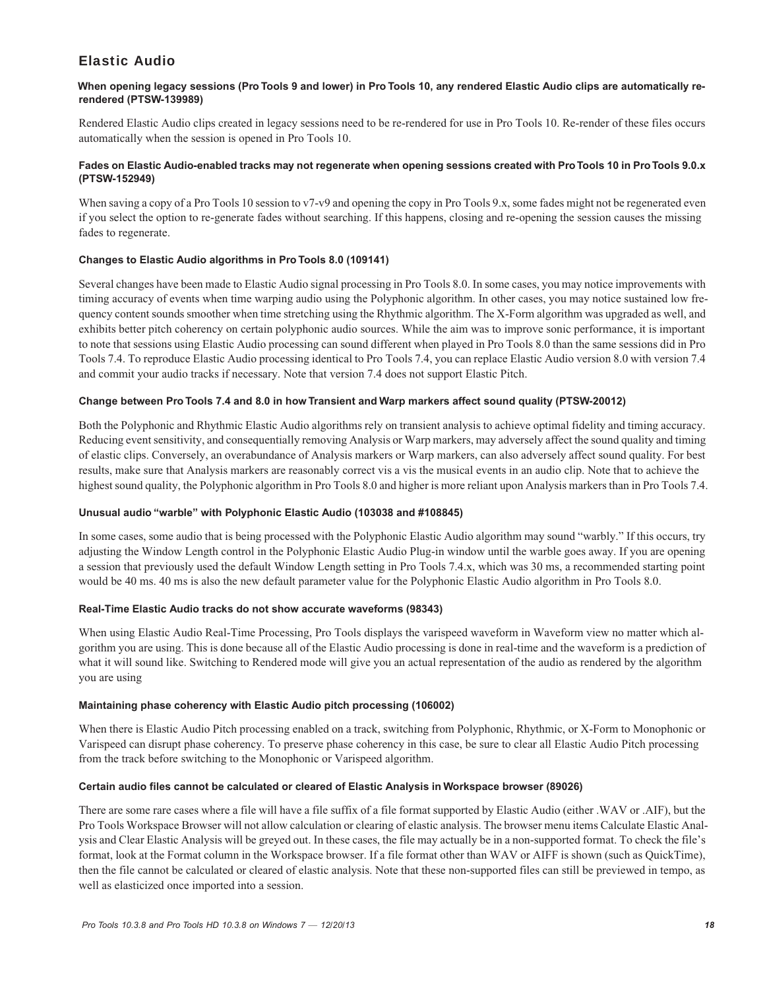## Elastic Audio

#### **When opening legacy sessions (Pro Tools 9 and lower) in Pro Tools 10, any rendered Elastic Audio clips are automatically rerendered (PTSW-139989)**

Rendered Elastic Audio clips created in legacy sessions need to be re-rendered for use in Pro Tools 10. Re-render of these files occurs automatically when the session is opened in Pro Tools 10.

#### **Fades on Elastic Audio-enabled tracks may not regenerate when opening sessions created with Pro Tools 10 in Pro Tools 9.0.x (PTSW-152949)**

When saving a copy of a Pro Tools 10 session to  $v7-v9$  and opening the copy in Pro Tools 9.x, some fades might not be regenerated even if you select the option to re-generate fades without searching. If this happens, closing and re-opening the session causes the missing fades to regenerate.

#### **Changes to Elastic Audio algorithms in Pro Tools 8.0 (109141)**

Several changes have been made to Elastic Audio signal processing in Pro Tools 8.0. In some cases, you may notice improvements with timing accuracy of events when time warping audio using the Polyphonic algorithm. In other cases, you may notice sustained low frequency content sounds smoother when time stretching using the Rhythmic algorithm. The X-Form algorithm was upgraded as well, and exhibits better pitch coherency on certain polyphonic audio sources. While the aim was to improve sonic performance, it is important to note that sessions using Elastic Audio processing can sound different when played in Pro Tools 8.0 than the same sessions did in Pro Tools 7.4. To reproduce Elastic Audio processing identical to Pro Tools 7.4, you can replace Elastic Audio version 8.0 with version 7.4 and commit your audio tracks if necessary. Note that version 7.4 does not support Elastic Pitch.

#### **Change between Pro Tools 7.4 and 8.0 in how Transient and Warp markers affect sound quality (PTSW-20012)**

Both the Polyphonic and Rhythmic Elastic Audio algorithms rely on transient analysis to achieve optimal fidelity and timing accuracy. Reducing event sensitivity, and consequentially removing Analysis or Warp markers, may adversely affect the sound quality and timing of elastic clips. Conversely, an overabundance of Analysis markers or Warp markers, can also adversely affect sound quality. For best results, make sure that Analysis markers are reasonably correct vis a vis the musical events in an audio clip. Note that to achieve the highest sound quality, the Polyphonic algorithm in Pro Tools 8.0 and higher is more reliant upon Analysis markers than in Pro Tools 7.4.

#### **Unusual audio "warble" with Polyphonic Elastic Audio (103038 and #108845)**

In some cases, some audio that is being processed with the Polyphonic Elastic Audio algorithm may sound "warbly." If this occurs, try adjusting the Window Length control in the Polyphonic Elastic Audio Plug-in window until the warble goes away. If you are opening a session that previously used the default Window Length setting in Pro Tools 7.4.x, which was 30 ms, a recommended starting point would be 40 ms. 40 ms is also the new default parameter value for the Polyphonic Elastic Audio algorithm in Pro Tools 8.0.

#### **Real-Time Elastic Audio tracks do not show accurate waveforms (98343)**

When using Elastic Audio Real-Time Processing, Pro Tools displays the varispeed waveform in Waveform view no matter which algorithm you are using. This is done because all of the Elastic Audio processing is done in real-time and the waveform is a prediction of what it will sound like. Switching to Rendered mode will give you an actual representation of the audio as rendered by the algorithm you are using

#### **Maintaining phase coherency with Elastic Audio pitch processing (106002)**

When there is Elastic Audio Pitch processing enabled on a track, switching from Polyphonic, Rhythmic, or X-Form to Monophonic or Varispeed can disrupt phase coherency. To preserve phase coherency in this case, be sure to clear all Elastic Audio Pitch processing from the track before switching to the Monophonic or Varispeed algorithm.

#### **Certain audio files cannot be calculated or cleared of Elastic Analysis in Workspace browser (89026)**

There are some rare cases where a file will have a file suffix of a file format supported by Elastic Audio (either .WAV or .AIF), but the Pro Tools Workspace Browser will not allow calculation or clearing of elastic analysis. The browser menu items Calculate Elastic Analysis and Clear Elastic Analysis will be greyed out. In these cases, the file may actually be in a non-supported format. To check the file's format, look at the Format column in the Workspace browser. If a file format other than WAV or AIFF is shown (such as QuickTime), then the file cannot be calculated or cleared of elastic analysis. Note that these non-supported files can still be previewed in tempo, as well as elasticized once imported into a session.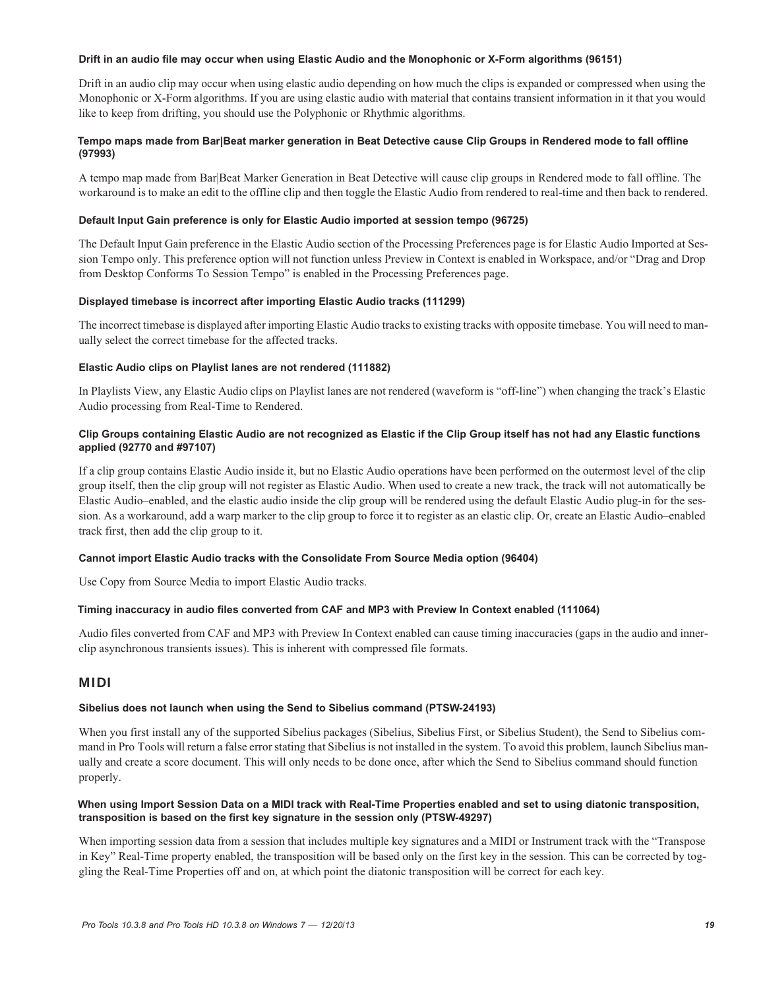#### **Drift in an audio file may occur when using Elastic Audio and the Monophonic or X-Form algorithms (96151)**

Drift in an audio clip may occur when using elastic audio depending on how much the clips is expanded or compressed when using the Monophonic or X-Form algorithms. If you are using elastic audio with material that contains transient information in it that you would like to keep from drifting, you should use the Polyphonic or Rhythmic algorithms.

#### **Tempo maps made from Bar|Beat marker generation in Beat Detective cause Clip Groups in Rendered mode to fall offline (97993)**

A tempo map made from Bar|Beat Marker Generation in Beat Detective will cause clip groups in Rendered mode to fall offline. The workaround is to make an edit to the offline clip and then toggle the Elastic Audio from rendered to real-time and then back to rendered.

#### **Default Input Gain preference is only for Elastic Audio imported at session tempo (96725)**

The Default Input Gain preference in the Elastic Audio section of the Processing Preferences page is for Elastic Audio Imported at Session Tempo only. This preference option will not function unless Preview in Context is enabled in Workspace, and/or "Drag and Drop from Desktop Conforms To Session Tempo" is enabled in the Processing Preferences page.

#### **Displayed timebase is incorrect after importing Elastic Audio tracks (111299)**

The incorrect timebase is displayed after importing Elastic Audio tracks to existing tracks with opposite timebase. You will need to manually select the correct timebase for the affected tracks.

#### **Elastic Audio clips on Playlist lanes are not rendered (111882)**

In Playlists View, any Elastic Audio clips on Playlist lanes are not rendered (waveform is "off-line") when changing the track's Elastic Audio processing from Real-Time to Rendered.

#### **Clip Groups containing Elastic Audio are not recognized as Elastic if the Clip Group itself has not had any Elastic functions applied (92770 and #97107)**

If a clip group contains Elastic Audio inside it, but no Elastic Audio operations have been performed on the outermost level of the clip group itself, then the clip group will not register as Elastic Audio. When used to create a new track, the track will not automatically be Elastic Audio–enabled, and the elastic audio inside the clip group will be rendered using the default Elastic Audio plug-in for the session. As a workaround, add a warp marker to the clip group to force it to register as an elastic clip. Or, create an Elastic Audio–enabled track first, then add the clip group to it.

#### **Cannot import Elastic Audio tracks with the Consolidate From Source Media option (96404)**

Use Copy from Source Media to import Elastic Audio tracks.

#### **Timing inaccuracy in audio files converted from CAF and MP3 with Preview In Context enabled (111064)**

Audio files converted from CAF and MP3 with Preview In Context enabled can cause timing inaccuracies (gaps in the audio and innerclip asynchronous transients issues). This is inherent with compressed file formats.

### MIDI

#### **Sibelius does not launch when using the Send to Sibelius command (PTSW-24193)**

When you first install any of the supported Sibelius packages (Sibelius, Sibelius First, or Sibelius Student), the Send to Sibelius command in Pro Tools will return a false error stating that Sibelius is not installed in the system. To avoid this problem, launch Sibelius manually and create a score document. This will only needs to be done once, after which the Send to Sibelius command should function properly.

#### **When using Import Session Data on a MIDI track with Real-Time Properties enabled and set to using diatonic transposition, transposition is based on the first key signature in the session only (PTSW-49297)**

When importing session data from a session that includes multiple key signatures and a MIDI or Instrument track with the "Transpose in Key" Real-Time property enabled, the transposition will be based only on the first key in the session. This can be corrected by toggling the Real-Time Properties off and on, at which point the diatonic transposition will be correct for each key.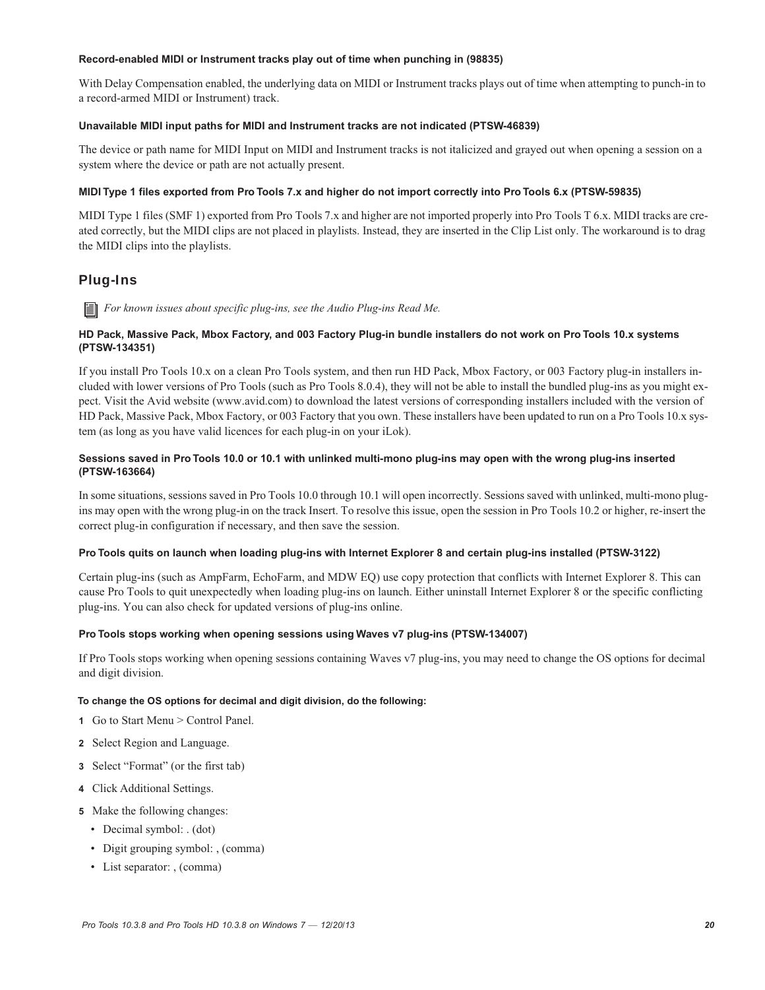#### **Record-enabled MIDI or Instrument tracks play out of time when punching in (98835)**

With Delay Compensation enabled, the underlying data on MIDI or Instrument tracks plays out of time when attempting to punch-in to a record-armed MIDI or Instrument) track.

#### **Unavailable MIDI input paths for MIDI and Instrument tracks are not indicated (PTSW-46839)**

The device or path name for MIDI Input on MIDI and Instrument tracks is not italicized and grayed out when opening a session on a system where the device or path are not actually present.

#### **MIDI Type 1 files exported from Pro Tools 7.x and higher do not import correctly into Pro Tools 6.x (PTSW-59835)**

MIDI Type 1 files (SMF 1) exported from Pro Tools 7.x and higher are not imported properly into Pro Tools T 6.x. MIDI tracks are created correctly, but the MIDI clips are not placed in playlists. Instead, they are inserted in the Clip List only. The workaround is to drag the MIDI clips into the playlists.

## Plug-Ins

*For known issues about specific plug-ins, see the Audio Plug-ins Read Me.*

#### **HD Pack, Massive Pack, Mbox Factory, and 003 Factory Plug-in bundle installers do not work on Pro Tools 10.x systems (PTSW-134351)**

If you install Pro Tools 10.x on a clean Pro Tools system, and then run HD Pack, Mbox Factory, or 003 Factory plug-in installers included with lower versions of Pro Tools (such as Pro Tools 8.0.4), they will not be able to install the bundled plug-ins as you might expect. Visit the Avid website (www.avid.com) to download the latest versions of corresponding installers included with the version of HD Pack, Massive Pack, Mbox Factory, or 003 Factory that you own. These installers have been updated to run on a Pro Tools 10.x system (as long as you have valid licences for each plug-in on your iLok).

#### **Sessions saved in Pro Tools 10.0 or 10.1 with unlinked multi-mono plug-ins may open with the wrong plug-ins inserted (PTSW-163664)**

In some situations, sessions saved in Pro Tools 10.0 through 10.1 will open incorrectly. Sessions saved with unlinked, multi-mono plugins may open with the wrong plug-in on the track Insert. To resolve this issue, open the session in Pro Tools 10.2 or higher, re-insert the correct plug-in configuration if necessary, and then save the session.

#### **Pro Tools quits on launch when loading plug-ins with Internet Explorer 8 and certain plug-ins installed (PTSW-3122)**

Certain plug-ins (such as AmpFarm, EchoFarm, and MDW EQ) use copy protection that conflicts with Internet Explorer 8. This can cause Pro Tools to quit unexpectedly when loading plug-ins on launch. Either uninstall Internet Explorer 8 or the specific conflicting plug-ins. You can also check for updated versions of plug-ins online.

#### **Pro Tools stops working when opening sessions using Waves v7 plug-ins (PTSW-134007)**

If Pro Tools stops working when opening sessions containing Waves v7 plug-ins, you may need to change the OS options for decimal and digit division.

#### **To change the OS options for decimal and digit division, do the following:**

- **1** Go to Start Menu > Control Panel.
- **2** Select Region and Language.
- **3** Select "Format" (or the first tab)
- **4** Click Additional Settings.
- **5** Make the following changes:
	- Decimal symbol: . (dot)
	- Digit grouping symbol: , (comma)
	- List separator: , (comma)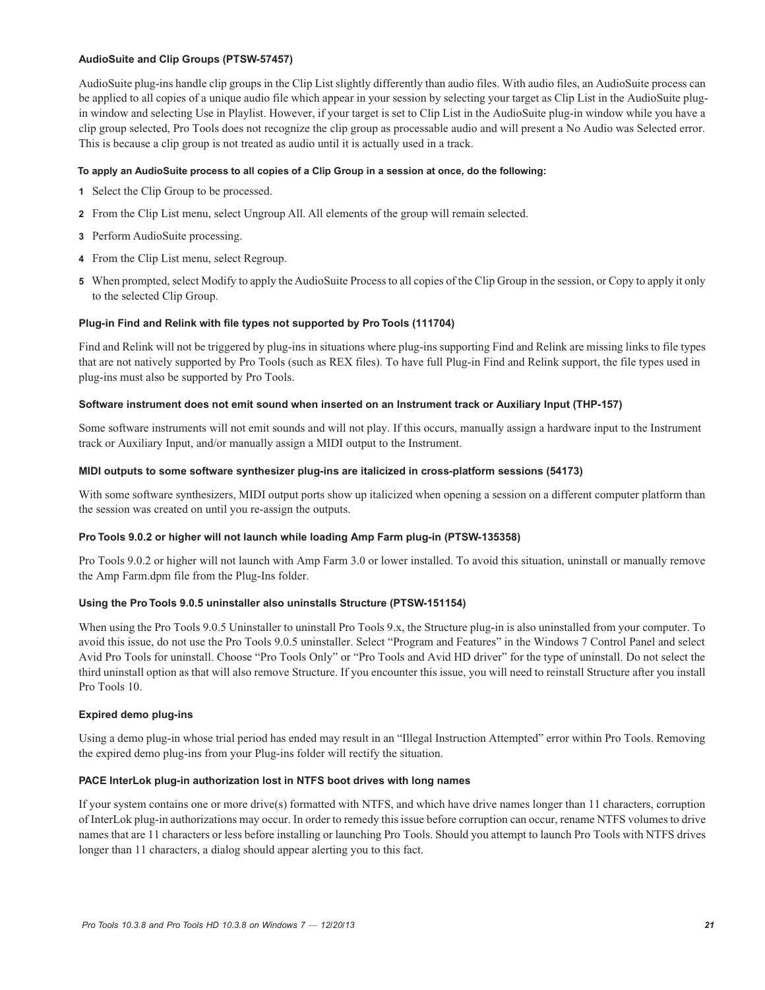#### **AudioSuite and Clip Groups (PTSW-57457)**

AudioSuite plug-ins handle clip groups in the Clip List slightly differently than audio files. With audio files, an AudioSuite process can be applied to all copies of a unique audio file which appear in your session by selecting your target as Clip List in the AudioSuite plugin window and selecting Use in Playlist. However, if your target is set to Clip List in the AudioSuite plug-in window while you have a clip group selected, Pro Tools does not recognize the clip group as processable audio and will present a No Audio was Selected error. This is because a clip group is not treated as audio until it is actually used in a track.

#### **To apply an AudioSuite process to all copies of a Clip Group in a session at once, do the following:**

- **1** Select the Clip Group to be processed.
- **2** From the Clip List menu, select Ungroup All. All elements of the group will remain selected.
- **3** Perform AudioSuite processing.
- **4** From the Clip List menu, select Regroup.
- **5** When prompted, select Modify to apply the AudioSuite Process to all copies of the Clip Group in the session, or Copy to apply it only to the selected Clip Group.

#### **Plug-in Find and Relink with file types not supported by Pro Tools (111704)**

Find and Relink will not be triggered by plug-ins in situations where plug-ins supporting Find and Relink are missing links to file types that are not natively supported by Pro Tools (such as REX files). To have full Plug-in Find and Relink support, the file types used in plug-ins must also be supported by Pro Tools.

#### **Software instrument does not emit sound when inserted on an Instrument track or Auxiliary Input (THP-157)**

Some software instruments will not emit sounds and will not play. If this occurs, manually assign a hardware input to the Instrument track or Auxiliary Input, and/or manually assign a MIDI output to the Instrument.

#### **MIDI outputs to some software synthesizer plug-ins are italicized in cross-platform sessions (54173)**

With some software synthesizers, MIDI output ports show up italicized when opening a session on a different computer platform than the session was created on until you re-assign the outputs.

#### **Pro Tools 9.0.2 or higher will not launch while loading Amp Farm plug-in (PTSW-135358)**

Pro Tools 9.0.2 or higher will not launch with Amp Farm 3.0 or lower installed. To avoid this situation, uninstall or manually remove the Amp Farm.dpm file from the Plug-Ins folder.

#### **Using the Pro Tools 9.0.5 uninstaller also uninstalls Structure (PTSW-151154)**

When using the Pro Tools 9.0.5 Uninstaller to uninstall Pro Tools 9.x, the Structure plug-in is also uninstalled from your computer. To avoid this issue, do not use the Pro Tools 9.0.5 uninstaller. Select "Program and Features" in the Windows 7 Control Panel and select Avid Pro Tools for uninstall. Choose "Pro Tools Only" or "Pro Tools and Avid HD driver" for the type of uninstall. Do not select the third uninstall option as that will also remove Structure. If you encounter this issue, you will need to reinstall Structure after you install Pro Tools 10.

#### **Expired demo plug-ins**

Using a demo plug-in whose trial period has ended may result in an "Illegal Instruction Attempted" error within Pro Tools. Removing the expired demo plug-ins from your Plug-ins folder will rectify the situation.

#### **PACE InterLok plug-in authorization lost in NTFS boot drives with long names**

If your system contains one or more drive(s) formatted with NTFS, and which have drive names longer than 11 characters, corruption of InterLok plug-in authorizations may occur. In order to remedy this issue before corruption can occur, rename NTFS volumes to drive names that are 11 characters or less before installing or launching Pro Tools. Should you attempt to launch Pro Tools with NTFS drives longer than 11 characters, a dialog should appear alerting you to this fact.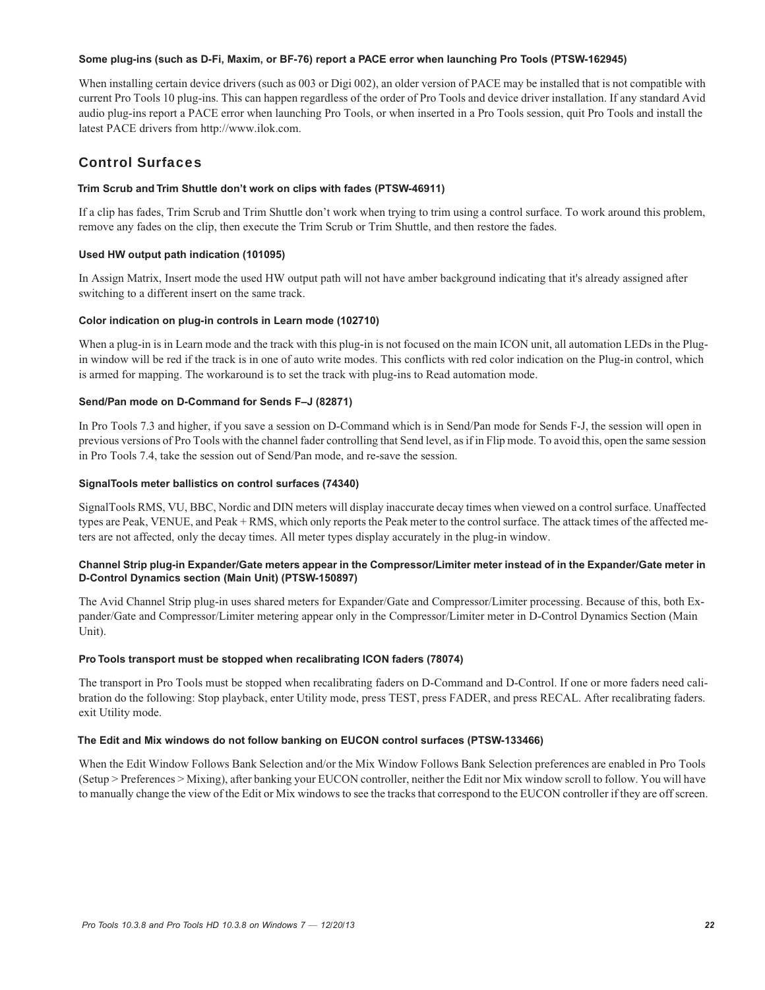#### **Some plug-ins (such as D-Fi, Maxim, or BF-76) report a PACE error when launching Pro Tools (PTSW-162945)**

When installing certain device drivers (such as 003 or Digi 002), an older version of PACE may be installed that is not compatible with current Pro Tools 10 plug-ins. This can happen regardless of the order of Pro Tools and device driver installation. If any standard Avid audio plug-ins report a PACE error when launching Pro Tools, or when inserted in a Pro Tools session, quit Pro Tools and install the latest PACE drivers from http://www.ilok.com.

## Control Surfaces

#### **Trim Scrub and Trim Shuttle don't work on clips with fades (PTSW-46911)**

If a clip has fades, Trim Scrub and Trim Shuttle don't work when trying to trim using a control surface. To work around this problem, remove any fades on the clip, then execute the Trim Scrub or Trim Shuttle, and then restore the fades.

#### **Used HW output path indication (101095)**

In Assign Matrix, Insert mode the used HW output path will not have amber background indicating that it's already assigned after switching to a different insert on the same track.

#### **Color indication on plug-in controls in Learn mode (102710)**

When a plug-in is in Learn mode and the track with this plug-in is not focused on the main ICON unit, all automation LEDs in the Plugin window will be red if the track is in one of auto write modes. This conflicts with red color indication on the Plug-in control, which is armed for mapping. The workaround is to set the track with plug-ins to Read automation mode.

#### **Send/Pan mode on D-Command for Sends F–J (82871)**

In Pro Tools 7.3 and higher, if you save a session on D-Command which is in Send/Pan mode for Sends F-J, the session will open in previous versions of Pro Tools with the channel fader controlling that Send level, as if in Flip mode. To avoid this, open the same session in Pro Tools 7.4, take the session out of Send/Pan mode, and re-save the session.

#### **SignalTools meter ballistics on control surfaces (74340)**

SignalTools RMS, VU, BBC, Nordic and DIN meters will display inaccurate decay times when viewed on a control surface. Unaffected types are Peak, VENUE, and Peak + RMS, which only reports the Peak meter to the control surface. The attack times of the affected meters are not affected, only the decay times. All meter types display accurately in the plug-in window.

#### **Channel Strip plug-in Expander/Gate meters appear in the Compressor/Limiter meter instead of in the Expander/Gate meter in D-Control Dynamics section (Main Unit) (PTSW-150897)**

The Avid Channel Strip plug-in uses shared meters for Expander/Gate and Compressor/Limiter processing. Because of this, both Expander/Gate and Compressor/Limiter metering appear only in the Compressor/Limiter meter in D-Control Dynamics Section (Main Unit).

#### **Pro Tools transport must be stopped when recalibrating ICON faders (78074)**

The transport in Pro Tools must be stopped when recalibrating faders on D-Command and D-Control. If one or more faders need calibration do the following: Stop playback, enter Utility mode, press TEST, press FADER, and press RECAL. After recalibrating faders. exit Utility mode.

#### **The Edit and Mix windows do not follow banking on EUCON control surfaces (PTSW-133466)**

When the Edit Window Follows Bank Selection and/or the Mix Window Follows Bank Selection preferences are enabled in Pro Tools (Setup > Preferences > Mixing), after banking your EUCON controller, neither the Edit nor Mix window scroll to follow. You will have to manually change the view of the Edit or Mix windows to see the tracks that correspond to the EUCON controller if they are off screen.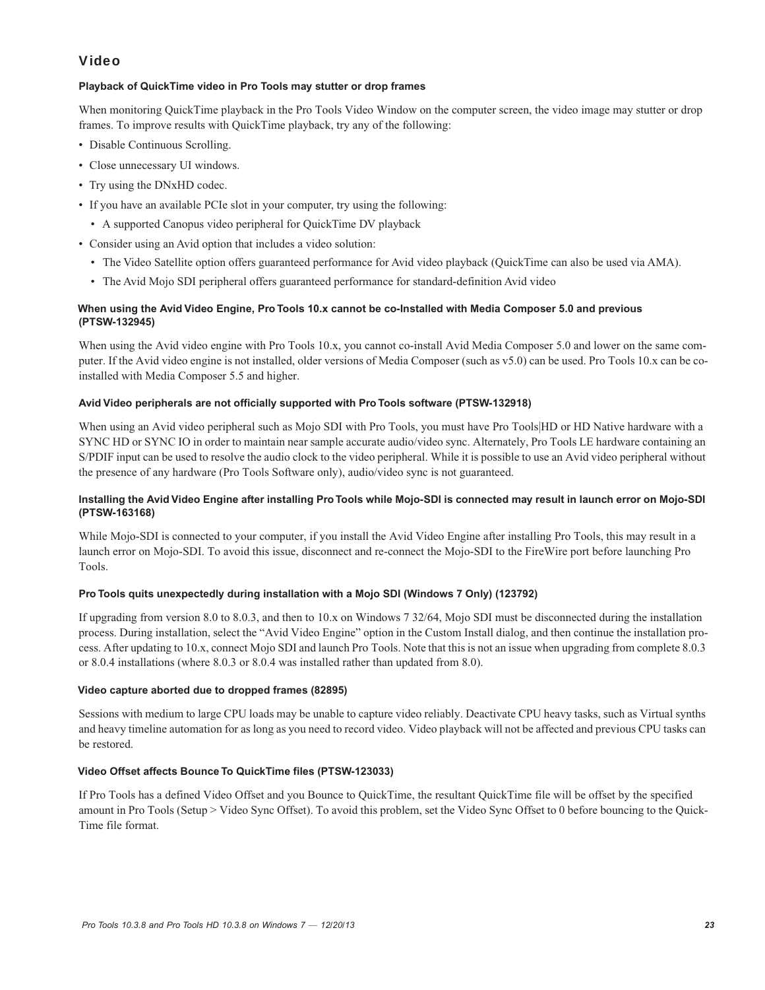## Video

#### **Playback of QuickTime video in Pro Tools may stutter or drop frames**

When monitoring QuickTime playback in the Pro Tools Video Window on the computer screen, the video image may stutter or drop frames. To improve results with QuickTime playback, try any of the following:

- Disable Continuous Scrolling.
- Close unnecessary UI windows.
- Try using the DNxHD codec.
- If you have an available PCIe slot in your computer, try using the following:
- A supported Canopus video peripheral for QuickTime DV playback
- Consider using an Avid option that includes a video solution:
	- The Video Satellite option offers guaranteed performance for Avid video playback (QuickTime can also be used via AMA).
	- The Avid Mojo SDI peripheral offers guaranteed performance for standard-definition Avid video

#### **When using the Avid Video Engine, Pro Tools 10.x cannot be co-Installed with Media Composer 5.0 and previous (PTSW-132945)**

When using the Avid video engine with Pro Tools 10.x, you cannot co-install Avid Media Composer 5.0 and lower on the same computer. If the Avid video engine is not installed, older versions of Media Composer (such as v5.0) can be used. Pro Tools 10.x can be coinstalled with Media Composer 5.5 and higher.

#### **Avid Video peripherals are not officially supported with Pro Tools software (PTSW-132918)**

When using an Avid video peripheral such as Mojo SDI with Pro Tools, you must have Pro Tools|HD or HD Native hardware with a SYNC HD or SYNC IO in order to maintain near sample accurate audio/video sync. Alternately, Pro Tools LE hardware containing an S/PDIF input can be used to resolve the audio clock to the video peripheral. While it is possible to use an Avid video peripheral without the presence of any hardware (Pro Tools Software only), audio/video sync is not guaranteed.

#### **Installing the Avid Video Engine after installing Pro Tools while Mojo-SDI is connected may result in launch error on Mojo-SDI (PTSW-163168)**

While Mojo-SDI is connected to your computer, if you install the Avid Video Engine after installing Pro Tools, this may result in a launch error on Mojo-SDI. To avoid this issue, disconnect and re-connect the Mojo-SDI to the FireWire port before launching Pro Tools.

#### **Pro Tools quits unexpectedly during installation with a Mojo SDI (Windows 7 Only) (123792)**

If upgrading from version 8.0 to 8.0.3, and then to 10.x on Windows 7 32/64, Mojo SDI must be disconnected during the installation process. During installation, select the "Avid Video Engine" option in the Custom Install dialog, and then continue the installation process. After updating to 10.x, connect Mojo SDI and launch Pro Tools. Note that this is not an issue when upgrading from complete 8.0.3 or 8.0.4 installations (where 8.0.3 or 8.0.4 was installed rather than updated from 8.0).

#### **Video capture aborted due to dropped frames (82895)**

Sessions with medium to large CPU loads may be unable to capture video reliably. Deactivate CPU heavy tasks, such as Virtual synths and heavy timeline automation for as long as you need to record video. Video playback will not be affected and previous CPU tasks can be restored.

#### **Video Offset affects Bounce To QuickTime files (PTSW-123033)**

If Pro Tools has a defined Video Offset and you Bounce to QuickTime, the resultant QuickTime file will be offset by the specified amount in Pro Tools (Setup > Video Sync Offset). To avoid this problem, set the Video Sync Offset to 0 before bouncing to the Quick-Time file format.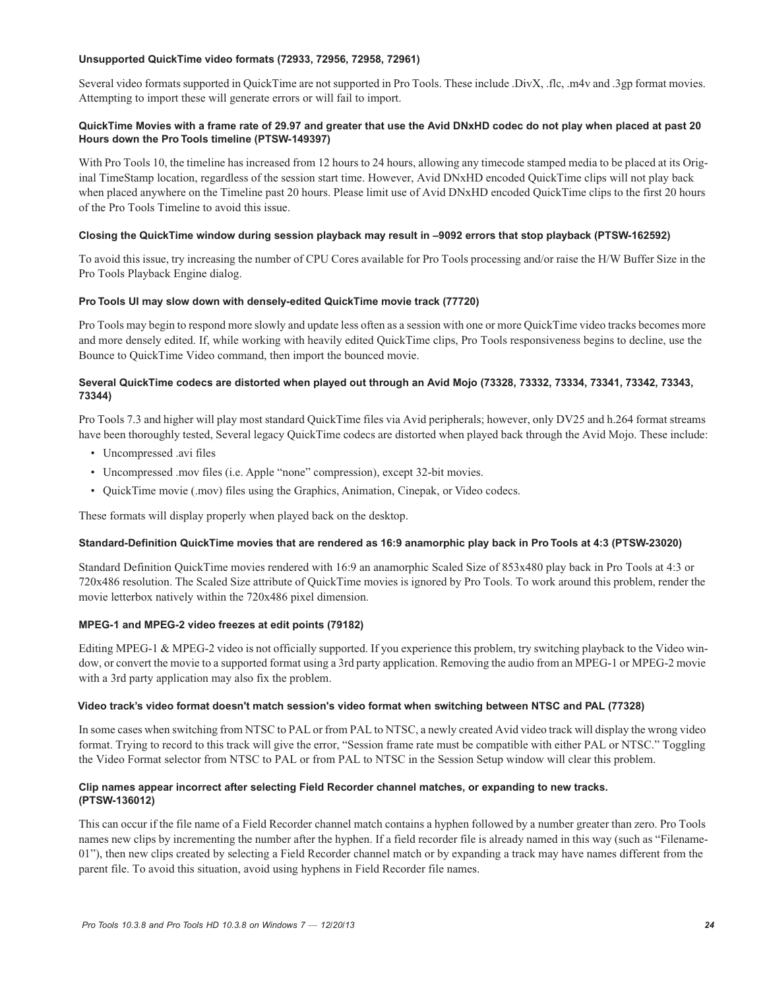#### **Unsupported QuickTime video formats (72933, 72956, 72958, 72961)**

Several video formats supported in QuickTime are not supported in Pro Tools. These include .DivX, .flc, .m4v and .3gp format movies. Attempting to import these will generate errors or will fail to import.

#### **QuickTime Movies with a frame rate of 29.97 and greater that use the Avid DNxHD codec do not play when placed at past 20 Hours down the Pro Tools timeline (PTSW-149397)**

With Pro Tools 10, the timeline has increased from 12 hours to 24 hours, allowing any timecode stamped media to be placed at its Original TimeStamp location, regardless of the session start time. However, Avid DNxHD encoded QuickTime clips will not play back when placed anywhere on the Timeline past 20 hours. Please limit use of Avid DNxHD encoded QuickTime clips to the first 20 hours of the Pro Tools Timeline to avoid this issue.

#### **Closing the QuickTime window during session playback may result in –9092 errors that stop playback (PTSW-162592)**

To avoid this issue, try increasing the number of CPU Cores available for Pro Tools processing and/or raise the H/W Buffer Size in the Pro Tools Playback Engine dialog.

#### **Pro Tools UI may slow down with densely-edited QuickTime movie track (77720)**

Pro Tools may begin to respond more slowly and update less often as a session with one or more QuickTime video tracks becomes more and more densely edited. If, while working with heavily edited QuickTime clips, Pro Tools responsiveness begins to decline, use the Bounce to QuickTime Video command, then import the bounced movie.

#### **Several QuickTime codecs are distorted when played out through an Avid Mojo (73328, 73332, 73334, 73341, 73342, 73343, 73344)**

Pro Tools 7.3 and higher will play most standard QuickTime files via Avid peripherals; however, only DV25 and h.264 format streams have been thoroughly tested, Several legacy QuickTime codecs are distorted when played back through the Avid Mojo. These include:

- Uncompressed .avi files
- Uncompressed .mov files (i.e. Apple "none" compression), except 32-bit movies.
- QuickTime movie (.mov) files using the Graphics, Animation, Cinepak, or Video codecs.

These formats will display properly when played back on the desktop.

#### **Standard-Definition QuickTime movies that are rendered as 16:9 anamorphic play back in Pro Tools at 4:3 (PTSW-23020)**

Standard Definition QuickTime movies rendered with 16:9 an anamorphic Scaled Size of 853x480 play back in Pro Tools at 4:3 or 720x486 resolution. The Scaled Size attribute of QuickTime movies is ignored by Pro Tools. To work around this problem, render the movie letterbox natively within the 720x486 pixel dimension.

#### **MPEG-1 and MPEG-2 video freezes at edit points (79182)**

Editing MPEG-1 & MPEG-2 video is not officially supported. If you experience this problem, try switching playback to the Video window, or convert the movie to a supported format using a 3rd party application. Removing the audio from an MPEG-1 or MPEG-2 movie with a 3rd party application may also fix the problem.

#### **Video track's video format doesn't match session's video format when switching between NTSC and PAL (77328)**

In some cases when switching from NTSC to PAL or from PAL to NTSC, a newly created Avid video track will display the wrong video format. Trying to record to this track will give the error, "Session frame rate must be compatible with either PAL or NTSC." Toggling the Video Format selector from NTSC to PAL or from PAL to NTSC in the Session Setup window will clear this problem.

#### **Clip names appear incorrect after selecting Field Recorder channel matches, or expanding to new tracks. (PTSW-136012)**

This can occur if the file name of a Field Recorder channel match contains a hyphen followed by a number greater than zero. Pro Tools names new clips by incrementing the number after the hyphen. If a field recorder file is already named in this way (such as "Filename-01"), then new clips created by selecting a Field Recorder channel match or by expanding a track may have names different from the parent file. To avoid this situation, avoid using hyphens in Field Recorder file names.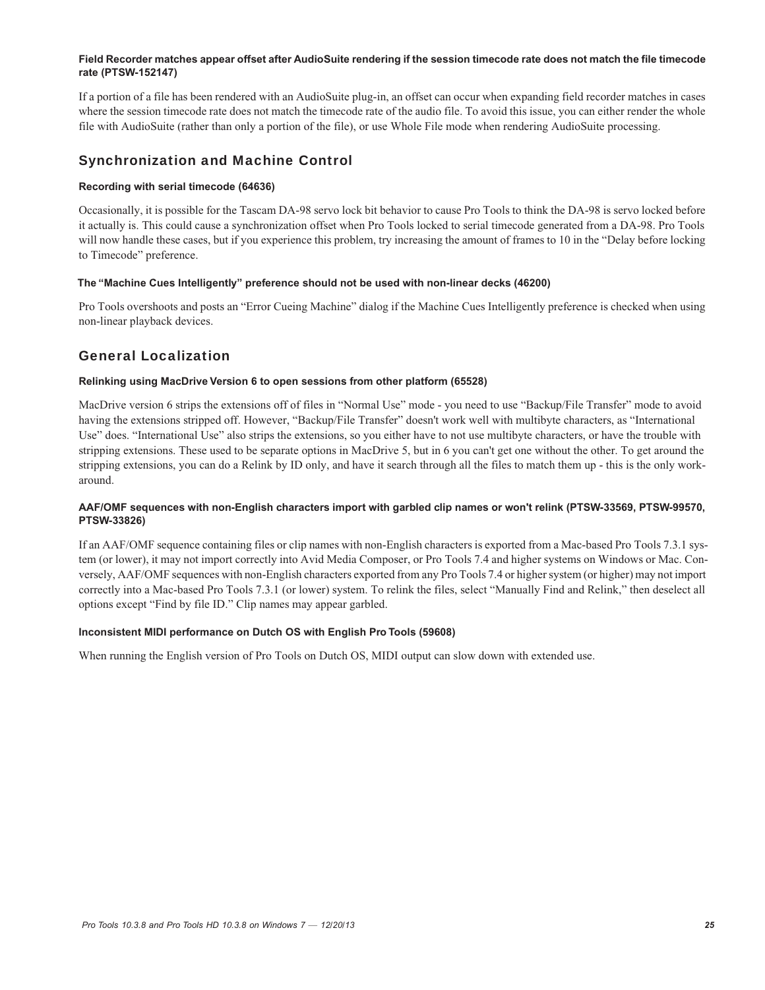#### **Field Recorder matches appear offset after AudioSuite rendering if the session timecode rate does not match the file timecode rate (PTSW-152147)**

If a portion of a file has been rendered with an AudioSuite plug-in, an offset can occur when expanding field recorder matches in cases where the session timecode rate does not match the timecode rate of the audio file. To avoid this issue, you can either render the whole file with AudioSuite (rather than only a portion of the file), or use Whole File mode when rendering AudioSuite processing.

## Synchronization and Machine Control

#### **Recording with serial timecode (64636)**

Occasionally, it is possible for the Tascam DA-98 servo lock bit behavior to cause Pro Tools to think the DA-98 is servo locked before it actually is. This could cause a synchronization offset when Pro Tools locked to serial timecode generated from a DA-98. Pro Tools will now handle these cases, but if you experience this problem, try increasing the amount of frames to 10 in the "Delay before locking to Timecode" preference.

#### **The "Machine Cues Intelligently" preference should not be used with non-linear decks (46200)**

Pro Tools overshoots and posts an "Error Cueing Machine" dialog if the Machine Cues Intelligently preference is checked when using non-linear playback devices.

## General Localization

#### **Relinking using MacDrive Version 6 to open sessions from other platform (65528)**

MacDrive version 6 strips the extensions off of files in "Normal Use" mode - you need to use "Backup/File Transfer" mode to avoid having the extensions stripped off. However, "Backup/File Transfer" doesn't work well with multibyte characters, as "International Use" does. "International Use" also strips the extensions, so you either have to not use multibyte characters, or have the trouble with stripping extensions. These used to be separate options in MacDrive 5, but in 6 you can't get one without the other. To get around the stripping extensions, you can do a Relink by ID only, and have it search through all the files to match them up - this is the only workaround.

#### **AAF/OMF sequences with non-English characters import with garbled clip names or won't relink (PTSW-33569, PTSW-99570, PTSW-33826)**

If an AAF/OMF sequence containing files or clip names with non-English characters is exported from a Mac-based Pro Tools 7.3.1 system (or lower), it may not import correctly into Avid Media Composer, or Pro Tools 7.4 and higher systems on Windows or Mac. Conversely, AAF/OMF sequences with non-English characters exported from any Pro Tools 7.4 or higher system (or higher) may not import correctly into a Mac-based Pro Tools 7.3.1 (or lower) system. To relink the files, select "Manually Find and Relink," then deselect all options except "Find by file ID." Clip names may appear garbled.

#### **Inconsistent MIDI performance on Dutch OS with English Pro Tools (59608)**

When running the English version of Pro Tools on Dutch OS, MIDI output can slow down with extended use.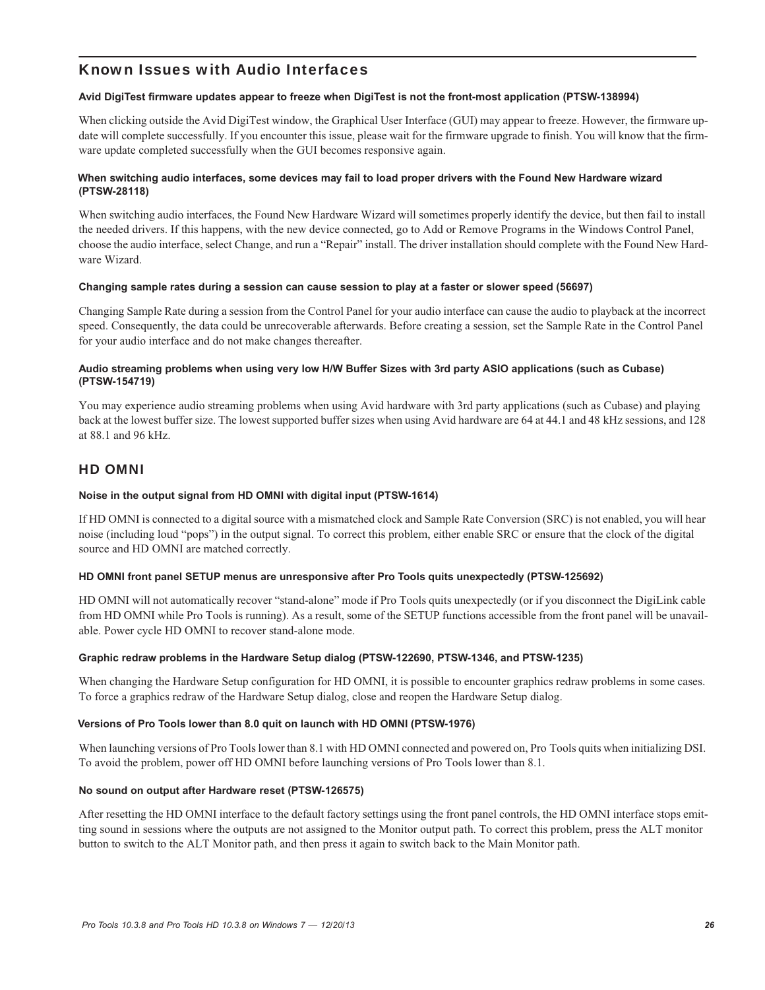## Known Issues with Audio Interfaces

#### **Avid DigiTest firmware updates appear to freeze when DigiTest is not the front-most application (PTSW-138994)**

When clicking outside the Avid DigiTest window, the Graphical User Interface (GUI) may appear to freeze. However, the firmware update will complete successfully. If you encounter this issue, please wait for the firmware upgrade to finish. You will know that the firmware update completed successfully when the GUI becomes responsive again.

#### **When switching audio interfaces, some devices may fail to load proper drivers with the Found New Hardware wizard (PTSW-28118)**

When switching audio interfaces, the Found New Hardware Wizard will sometimes properly identify the device, but then fail to install the needed drivers. If this happens, with the new device connected, go to Add or Remove Programs in the Windows Control Panel, choose the audio interface, select Change, and run a "Repair" install. The driver installation should complete with the Found New Hardware Wizard.

#### **Changing sample rates during a session can cause session to play at a faster or slower speed (56697)**

Changing Sample Rate during a session from the Control Panel for your audio interface can cause the audio to playback at the incorrect speed. Consequently, the data could be unrecoverable afterwards. Before creating a session, set the Sample Rate in the Control Panel for your audio interface and do not make changes thereafter.

#### **Audio streaming problems when using very low H/W Buffer Sizes with 3rd party ASIO applications (such as Cubase) (PTSW-154719)**

You may experience audio streaming problems when using Avid hardware with 3rd party applications (such as Cubase) and playing back at the lowest buffer size. The lowest supported buffer sizes when using Avid hardware are 64 at 44.1 and 48 kHz sessions, and 128 at 88.1 and 96 kHz.

### HD OMNI

#### **Noise in the output signal from HD OMNI with digital input (PTSW-1614)**

If HD OMNI is connected to a digital source with a mismatched clock and Sample Rate Conversion (SRC) is not enabled, you will hear noise (including loud "pops") in the output signal. To correct this problem, either enable SRC or ensure that the clock of the digital source and HD OMNI are matched correctly.

#### **HD OMNI front panel SETUP menus are unresponsive after Pro Tools quits unexpectedly (PTSW-125692)**

HD OMNI will not automatically recover "stand-alone" mode if Pro Tools quits unexpectedly (or if you disconnect the DigiLink cable from HD OMNI while Pro Tools is running). As a result, some of the SETUP functions accessible from the front panel will be unavailable. Power cycle HD OMNI to recover stand-alone mode.

#### **Graphic redraw problems in the Hardware Setup dialog (PTSW-122690, PTSW-1346, and PTSW-1235)**

When changing the Hardware Setup configuration for HD OMNI, it is possible to encounter graphics redraw problems in some cases. To force a graphics redraw of the Hardware Setup dialog, close and reopen the Hardware Setup dialog.

#### **Versions of Pro Tools lower than 8.0 quit on launch with HD OMNI (PTSW-1976)**

When launching versions of Pro Tools lower than 8.1 with HD OMNI connected and powered on, Pro Tools quits when initializing DSI. To avoid the problem, power off HD OMNI before launching versions of Pro Tools lower than 8.1.

#### **No sound on output after Hardware reset (PTSW-126575)**

After resetting the HD OMNI interface to the default factory settings using the front panel controls, the HD OMNI interface stops emitting sound in sessions where the outputs are not assigned to the Monitor output path. To correct this problem, press the ALT monitor button to switch to the ALT Monitor path, and then press it again to switch back to the Main Monitor path.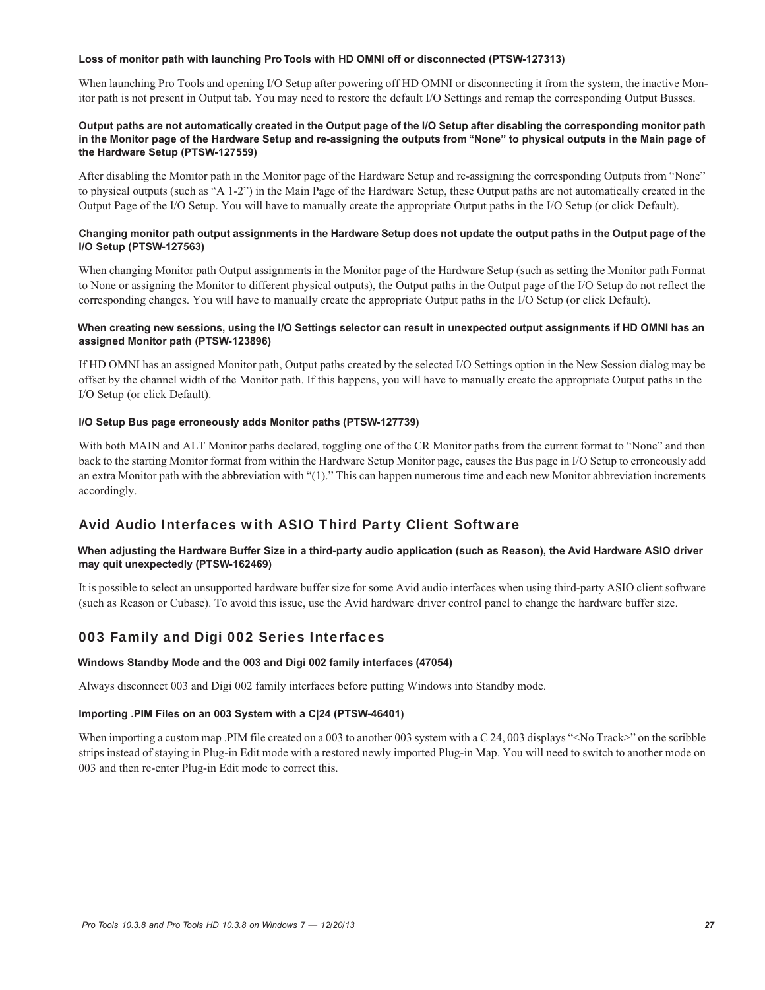#### **Loss of monitor path with launching Pro Tools with HD OMNI off or disconnected (PTSW-127313)**

When launching Pro Tools and opening I/O Setup after powering off HD OMNI or disconnecting it from the system, the inactive Monitor path is not present in Output tab. You may need to restore the default I/O Settings and remap the corresponding Output Busses.

#### **Output paths are not automatically created in the Output page of the I/O Setup after disabling the corresponding monitor path in the Monitor page of the Hardware Setup and re-assigning the outputs from "None" to physical outputs in the Main page of the Hardware Setup (PTSW-127559)**

After disabling the Monitor path in the Monitor page of the Hardware Setup and re-assigning the corresponding Outputs from "None" to physical outputs (such as "A 1-2") in the Main Page of the Hardware Setup, these Output paths are not automatically created in the Output Page of the I/O Setup. You will have to manually create the appropriate Output paths in the I/O Setup (or click Default).

#### **Changing monitor path output assignments in the Hardware Setup does not update the output paths in the Output page of the I/O Setup (PTSW-127563)**

When changing Monitor path Output assignments in the Monitor page of the Hardware Setup (such as setting the Monitor path Format to None or assigning the Monitor to different physical outputs), the Output paths in the Output page of the I/O Setup do not reflect the corresponding changes. You will have to manually create the appropriate Output paths in the I/O Setup (or click Default).

#### **When creating new sessions, using the I/O Settings selector can result in unexpected output assignments if HD OMNI has an assigned Monitor path (PTSW-123896)**

If HD OMNI has an assigned Monitor path, Output paths created by the selected I/O Settings option in the New Session dialog may be offset by the channel width of the Monitor path. If this happens, you will have to manually create the appropriate Output paths in the I/O Setup (or click Default).

#### **I/O Setup Bus page erroneously adds Monitor paths (PTSW-127739)**

With both MAIN and ALT Monitor paths declared, toggling one of the CR Monitor paths from the current format to "None" and then back to the starting Monitor format from within the Hardware Setup Monitor page, causes the Bus page in I/O Setup to erroneously add an extra Monitor path with the abbreviation with "(1)." This can happen numerous time and each new Monitor abbreviation increments accordingly.

## Avid Audio Interfaces with ASIO Third Party Client Software

#### **When adjusting the Hardware Buffer Size in a third-party audio application (such as Reason), the Avid Hardware ASIO driver may quit unexpectedly (PTSW-162469)**

It is possible to select an unsupported hardware buffer size for some Avid audio interfaces when using third-party ASIO client software (such as Reason or Cubase). To avoid this issue, use the Avid hardware driver control panel to change the hardware buffer size.

## 003 Family and Digi 002 Series Interfaces

#### **Windows Standby Mode and the 003 and Digi 002 family interfaces (47054)**

Always disconnect 003 and Digi 002 family interfaces before putting Windows into Standby mode.

#### **Importing .PIM Files on an 003 System with a C|24 (PTSW-46401)**

When importing a custom map .PIM file created on a 003 to another 003 system with a  $C|24$ , 003 displays "<No Track>" on the scribble strips instead of staying in Plug-in Edit mode with a restored newly imported Plug-in Map. You will need to switch to another mode on 003 and then re-enter Plug-in Edit mode to correct this.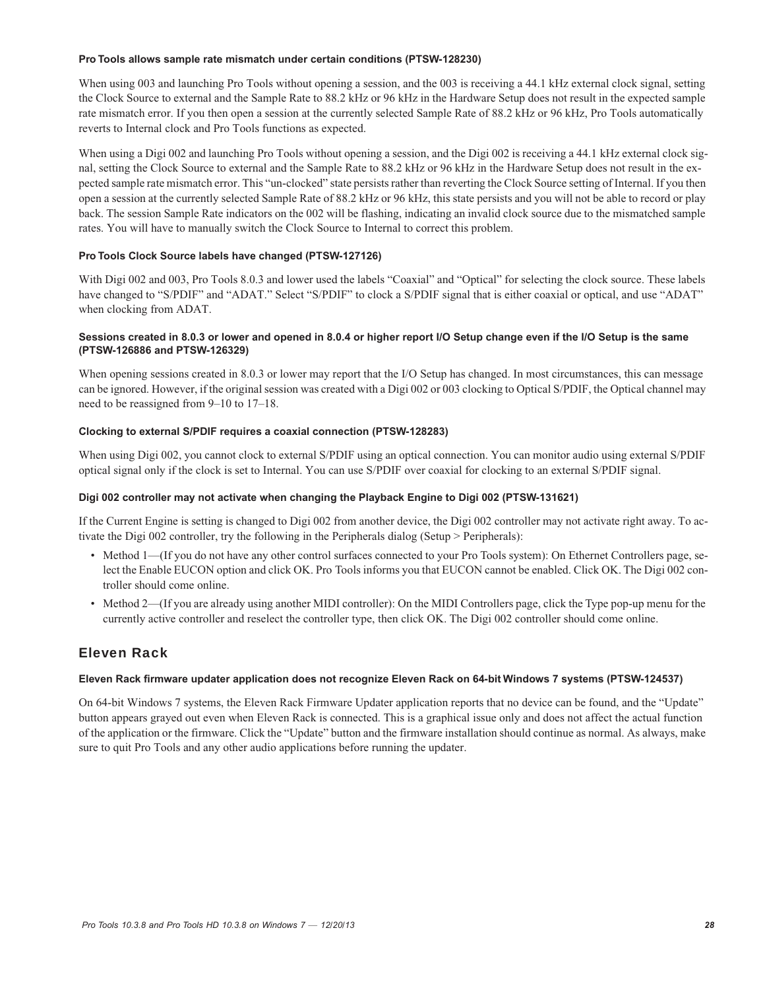#### **Pro Tools allows sample rate mismatch under certain conditions (PTSW-128230)**

When using 003 and launching Pro Tools without opening a session, and the 003 is receiving a 44.1 kHz external clock signal, setting the Clock Source to external and the Sample Rate to 88.2 kHz or 96 kHz in the Hardware Setup does not result in the expected sample rate mismatch error. If you then open a session at the currently selected Sample Rate of 88.2 kHz or 96 kHz, Pro Tools automatically reverts to Internal clock and Pro Tools functions as expected.

When using a Digi 002 and launching Pro Tools without opening a session, and the Digi 002 is receiving a 44.1 kHz external clock signal, setting the Clock Source to external and the Sample Rate to 88.2 kHz or 96 kHz in the Hardware Setup does not result in the expected sample rate mismatch error. This "un-clocked" state persists rather than reverting the Clock Source setting of Internal. If you then open a session at the currently selected Sample Rate of 88.2 kHz or 96 kHz, this state persists and you will not be able to record or play back. The session Sample Rate indicators on the 002 will be flashing, indicating an invalid clock source due to the mismatched sample rates. You will have to manually switch the Clock Source to Internal to correct this problem.

#### **Pro Tools Clock Source labels have changed (PTSW-127126)**

With Digi 002 and 003, Pro Tools 8.0.3 and lower used the labels "Coaxial" and "Optical" for selecting the clock source. These labels have changed to "S/PDIF" and "ADAT." Select "S/PDIF" to clock a S/PDIF signal that is either coaxial or optical, and use "ADAT" when clocking from ADAT.

#### **Sessions created in 8.0.3 or lower and opened in 8.0.4 or higher report I/O Setup change even if the I/O Setup is the same (PTSW-126886 and PTSW-126329)**

When opening sessions created in 8.0.3 or lower may report that the I/O Setup has changed. In most circumstances, this can message can be ignored. However, if the original session was created with a Digi 002 or 003 clocking to Optical S/PDIF, the Optical channel may need to be reassigned from 9–10 to 17–18.

#### **Clocking to external S/PDIF requires a coaxial connection (PTSW-128283)**

When using Digi 002, you cannot clock to external S/PDIF using an optical connection. You can monitor audio using external S/PDIF optical signal only if the clock is set to Internal. You can use S/PDIF over coaxial for clocking to an external S/PDIF signal.

#### **Digi 002 controller may not activate when changing the Playback Engine to Digi 002 (PTSW-131621)**

If the Current Engine is setting is changed to Digi 002 from another device, the Digi 002 controller may not activate right away. To activate the Digi 002 controller, try the following in the Peripherals dialog (Setup > Peripherals):

- Method 1—(If you do not have any other control surfaces connected to your Pro Tools system): On Ethernet Controllers page, select the Enable EUCON option and click OK. Pro Tools informs you that EUCON cannot be enabled. Click OK. The Digi 002 controller should come online.
- Method 2—(If you are already using another MIDI controller): On the MIDI Controllers page, click the Type pop-up menu for the currently active controller and reselect the controller type, then click OK. The Digi 002 controller should come online.

## Eleven Rack

#### **Eleven Rack firmware updater application does not recognize Eleven Rack on 64-bit Windows 7 systems (PTSW-124537)**

On 64-bit Windows 7 systems, the Eleven Rack Firmware Updater application reports that no device can be found, and the "Update" button appears grayed out even when Eleven Rack is connected. This is a graphical issue only and does not affect the actual function of the application or the firmware. Click the "Update" button and the firmware installation should continue as normal. As always, make sure to quit Pro Tools and any other audio applications before running the updater.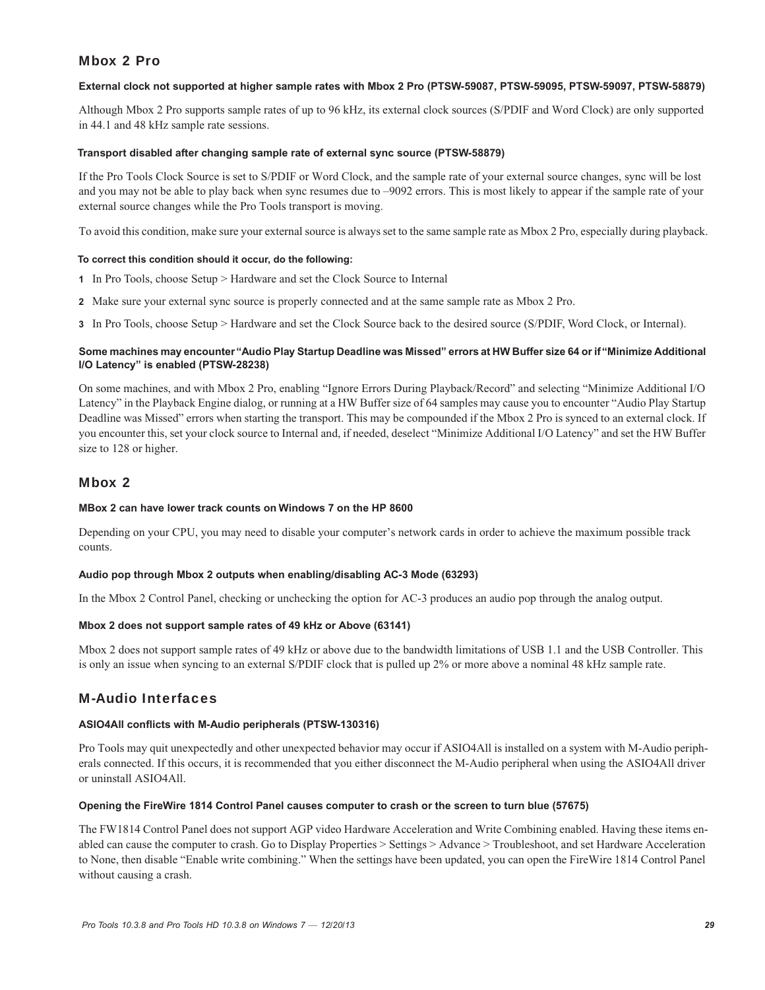## Mbox 2 Pro

#### **External clock not supported at higher sample rates with Mbox 2 Pro (PTSW-59087, PTSW-59095, PTSW-59097, PTSW-58879)**

Although Mbox 2 Pro supports sample rates of up to 96 kHz, its external clock sources (S/PDIF and Word Clock) are only supported in 44.1 and 48 kHz sample rate sessions.

#### **Transport disabled after changing sample rate of external sync source (PTSW-58879)**

If the Pro Tools Clock Source is set to S/PDIF or Word Clock, and the sample rate of your external source changes, sync will be lost and you may not be able to play back when sync resumes due to –9092 errors. This is most likely to appear if the sample rate of your external source changes while the Pro Tools transport is moving.

To avoid this condition, make sure your external source is always set to the same sample rate as Mbox 2 Pro, especially during playback.

#### **To correct this condition should it occur, do the following:**

- **1** In Pro Tools, choose Setup > Hardware and set the Clock Source to Internal
- **2** Make sure your external sync source is properly connected and at the same sample rate as Mbox 2 Pro.
- **3** In Pro Tools, choose Setup > Hardware and set the Clock Source back to the desired source (S/PDIF, Word Clock, or Internal).

#### **Some machines may encounter "Audio Play Startup Deadline was Missed" errors at HW Buffer size 64 or if "Minimize Additional I/O Latency" is enabled (PTSW-28238)**

On some machines, and with Mbox 2 Pro, enabling "Ignore Errors During Playback/Record" and selecting "Minimize Additional I/O Latency" in the Playback Engine dialog, or running at a HW Buffer size of 64 samples may cause you to encounter "Audio Play Startup Deadline was Missed" errors when starting the transport. This may be compounded if the Mbox 2 Pro is synced to an external clock. If you encounter this, set your clock source to Internal and, if needed, deselect "Minimize Additional I/O Latency" and set the HW Buffer size to 128 or higher.

### Mbox 2

#### **MBox 2 can have lower track counts on Windows 7 on the HP 8600**

Depending on your CPU, you may need to disable your computer's network cards in order to achieve the maximum possible track counts.

#### **Audio pop through Mbox 2 outputs when enabling/disabling AC-3 Mode (63293)**

In the Mbox 2 Control Panel, checking or unchecking the option for AC-3 produces an audio pop through the analog output.

#### **Mbox 2 does not support sample rates of 49 kHz or Above (63141)**

Mbox 2 does not support sample rates of 49 kHz or above due to the bandwidth limitations of USB 1.1 and the USB Controller. This is only an issue when syncing to an external S/PDIF clock that is pulled up 2% or more above a nominal 48 kHz sample rate.

### M-Audio Interfaces

#### **ASIO4All conflicts with M-Audio peripherals (PTSW-130316)**

Pro Tools may quit unexpectedly and other unexpected behavior may occur if ASIO4All is installed on a system with M-Audio peripherals connected. If this occurs, it is recommended that you either disconnect the M-Audio peripheral when using the ASIO4All driver or uninstall ASIO4All.

#### **Opening the FireWire 1814 Control Panel causes computer to crash or the screen to turn blue (57675)**

The FW1814 Control Panel does not support AGP video Hardware Acceleration and Write Combining enabled. Having these items enabled can cause the computer to crash. Go to Display Properties > Settings > Advance > Troubleshoot, and set Hardware Acceleration to None, then disable "Enable write combining." When the settings have been updated, you can open the FireWire 1814 Control Panel without causing a crash.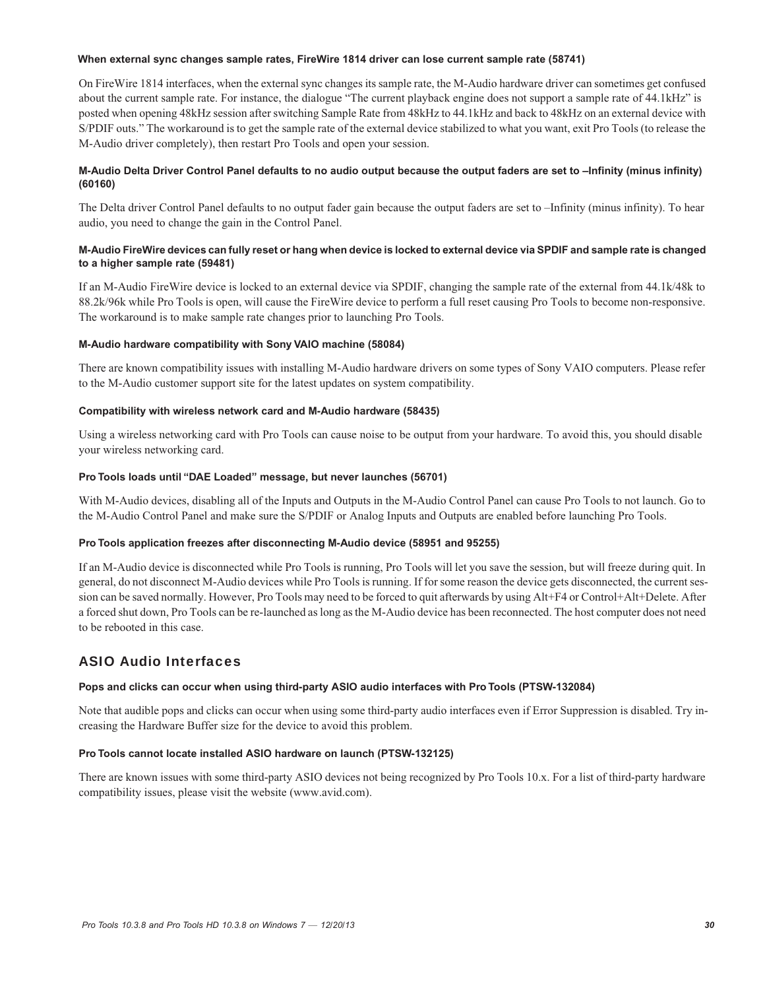#### **When external sync changes sample rates, FireWire 1814 driver can lose current sample rate (58741)**

On FireWire 1814 interfaces, when the external sync changes its sample rate, the M-Audio hardware driver can sometimes get confused about the current sample rate. For instance, the dialogue "The current playback engine does not support a sample rate of 44.1kHz" is posted when opening 48kHz session after switching Sample Rate from 48kHz to 44.1kHz and back to 48kHz on an external device with S/PDIF outs." The workaround is to get the sample rate of the external device stabilized to what you want, exit Pro Tools (to release the M-Audio driver completely), then restart Pro Tools and open your session.

#### **M-Audio Delta Driver Control Panel defaults to no audio output because the output faders are set to –Infinity (minus infinity) (60160)**

The Delta driver Control Panel defaults to no output fader gain because the output faders are set to –Infinity (minus infinity). To hear audio, you need to change the gain in the Control Panel.

#### **M-Audio FireWire devices can fully reset or hang when device is locked to external device via SPDIF and sample rate is changed to a higher sample rate (59481)**

If an M-Audio FireWire device is locked to an external device via SPDIF, changing the sample rate of the external from 44.1k/48k to 88.2k/96k while Pro Tools is open, will cause the FireWire device to perform a full reset causing Pro Tools to become non-responsive. The workaround is to make sample rate changes prior to launching Pro Tools.

#### **M-Audio hardware compatibility with Sony VAIO machine (58084)**

There are known compatibility issues with installing M-Audio hardware drivers on some types of Sony VAIO computers. Please refer to the M-Audio customer support site for the latest updates on system compatibility.

#### **Compatibility with wireless network card and M-Audio hardware (58435)**

Using a wireless networking card with Pro Tools can cause noise to be output from your hardware. To avoid this, you should disable your wireless networking card.

#### **Pro Tools loads until "DAE Loaded" message, but never launches (56701)**

With M-Audio devices, disabling all of the Inputs and Outputs in the M-Audio Control Panel can cause Pro Tools to not launch. Go to the M-Audio Control Panel and make sure the S/PDIF or Analog Inputs and Outputs are enabled before launching Pro Tools.

#### **Pro Tools application freezes after disconnecting M-Audio device (58951 and 95255)**

If an M-Audio device is disconnected while Pro Tools is running, Pro Tools will let you save the session, but will freeze during quit. In general, do not disconnect M-Audio devices while Pro Tools is running. If for some reason the device gets disconnected, the current session can be saved normally. However, Pro Tools may need to be forced to quit afterwards by using Alt+F4 or Control+Alt+Delete. After a forced shut down, Pro Tools can be re-launched as long as the M-Audio device has been reconnected. The host computer does not need to be rebooted in this case.

## ASIO Audio Interfaces

#### **Pops and clicks can occur when using third-party ASIO audio interfaces with Pro Tools (PTSW-132084)**

Note that audible pops and clicks can occur when using some third-party audio interfaces even if Error Suppression is disabled. Try increasing the Hardware Buffer size for the device to avoid this problem.

#### **Pro Tools cannot locate installed ASIO hardware on launch (PTSW-132125)**

There are known issues with some third-party ASIO devices not being recognized by Pro Tools 10.x. For a list of third-party hardware compatibility issues, please visit the website (www.avid.com).